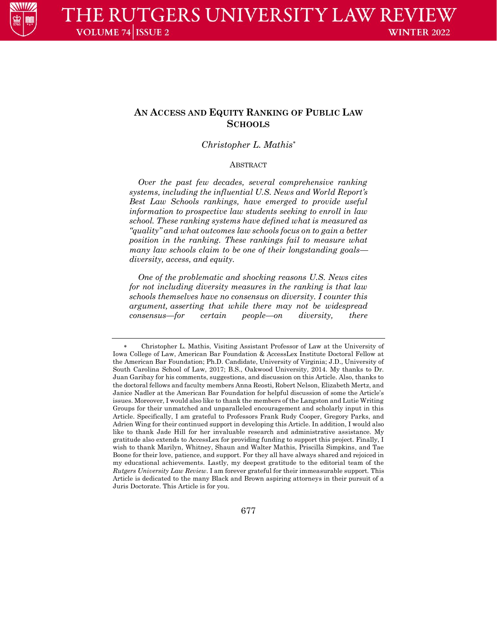

# **AN ACCESS AND EQUITY RANKING OF PUBLIC LAW SCHOOLS**

## *Christopher L. Mathis*

### **ABSTRACT**

*Over the past few decades, several comprehensive ranking systems, including the influential U.S. News and World Report's Best Law Schools rankings, have emerged to provide useful information to prospective law students seeking to enroll in law school. These ranking systems have defined what is measured as "quality" and what outcomes law schools focus on to gain a better position in the ranking. These rankings fail to measure what many law schools claim to be one of their longstanding goals diversity, access, and equity.*

*One of the problematic and shocking reasons U.S. News cites for not including diversity measures in the ranking is that law schools themselves have no consensus on diversity. I counter this argument, asserting that while there may not be widespread consensus—for certain people—on diversity, there* 

 Christopher L. Mathis, Visiting Assistant Professor of Law at the University of Iowa College of Law, American Bar Foundation & AccessLex Institute Doctoral Fellow at the American Bar Foundation; Ph.D. Candidate, University of Virginia; J.D., University of South Carolina School of Law, 2017; B.S., Oakwood University, 2014. My thanks to Dr. Juan Garibay for his comments, suggestions, and discussion on this Article. Also, thanks to the doctoral fellows and faculty members Anna Reosti, Robert Nelson, Elizabeth Mertz, and Janice Nadler at the American Bar Foundation for helpful discussion of some the Article's issues. Moreover, I would also like to thank the members of the Langston and Lutie Writing Groups for their unmatched and unparalleled encouragement and scholarly input in this Article. Specifically, I am grateful to Professors Frank Rudy Cooper, Gregory Parks, and Adrien Wing for their continued support in developing this Article. In addition, I would also like to thank Jade Hill for her invaluable research and administrative assistance. My gratitude also extends to AccessLex for providing funding to support this project. Finally, I wish to thank Marilyn, Whitney, Shaun and Walter Mathis, Priscilla Simpkins, and Tae Boone for their love, patience, and support. For they all have always shared and rejoiced in my educational achievements. Lastly, my deepest gratitude to the editorial team of the *Rutgers University Law Review*. I am forever grateful for their immeasurable support. This Article is dedicated to the many Black and Brown aspiring attorneys in their pursuit of a Juris Doctorate. This Article is for you.

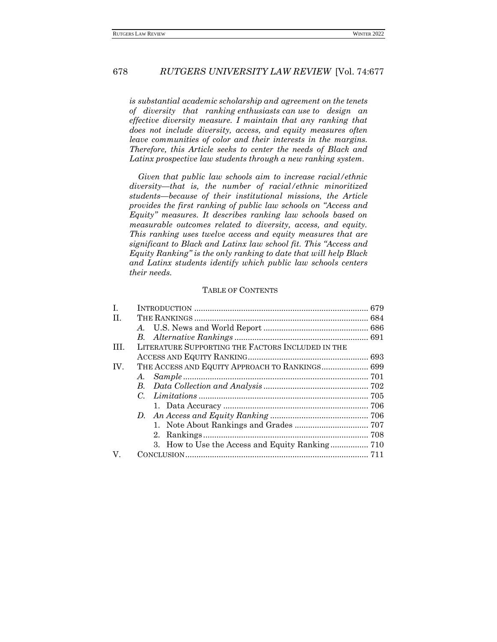*is substantial academic scholarship and agreement on the tenets of diversity that ranking enthusiasts can use to design an effective diversity measure. I maintain that any ranking that does not include diversity, access, and equity measures often leave communities of color and their interests in the margins. Therefore, this Article seeks to center the needs of Black and Latinx prospective law students through a new ranking system.*

*Given that public law schools aim to increase racial/ethnic diversity—that is, the number of racial/ethnic minoritized students—because of their institutional missions, the Article provides the first ranking of public law schools on "Access and Equity" measures. It describes ranking law schools based on measurable outcomes related to diversity, access, and equity. This ranking uses twelve access and equity measures that are significant to Black and Latinx law school fit. This "Access and Equity Ranking" is the only ranking to date that will help Black and Latinx students identify which public law schools centers their needs.*

## TABLE OF CONTENTS

| I.   |                                                   |  |
|------|---------------------------------------------------|--|
| II.  |                                                   |  |
|      |                                                   |  |
|      |                                                   |  |
| III. | LITERATURE SUPPORTING THE FACTORS INCLUDED IN THE |  |
|      |                                                   |  |
| IV.  | THE ACCESS AND EQUITY APPROACH TO RANKINGS 699    |  |
|      | A.                                                |  |
|      |                                                   |  |
|      |                                                   |  |
|      |                                                   |  |
|      |                                                   |  |
|      |                                                   |  |
|      |                                                   |  |
|      |                                                   |  |
| V.   |                                                   |  |
|      |                                                   |  |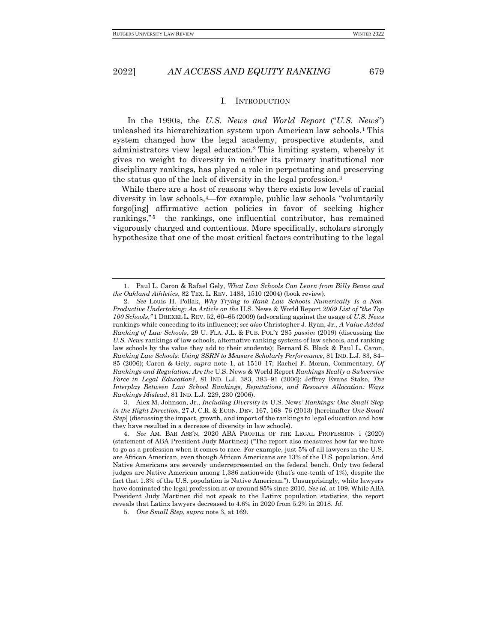#### I. INTRODUCTION

<span id="page-2-0"></span>In the 1990s, the *U.S. News and World Report* ("*U.S. News*") unleashed its hierarchization system upon American law schools.<sup>1</sup> This system changed how the legal academy, prospective students, and administrators view legal education.<sup>2</sup> This limiting system, whereby it gives no weight to diversity in neither its primary institutional nor disciplinary rankings, has played a role in perpetuating and preserving the status quo of the lack of diversity in the legal profession.<sup>3</sup>

While there are a host of reasons why there exists low levels of racial diversity in law schools,4—for example, public law schools "voluntarily forgo[ing] affirmative action policies in favor of seeking higher rankings," <sup>5</sup> —the rankings, one influential contributor, has remained vigorously charged and contentious. More specifically, scholars strongly hypothesize that one of the most critical factors contributing to the legal

3. Alex M. Johnson, Jr., *Including Diversity in* U.S. News*' Rankings: One Small Step in the Right Direction*, 27 J. C.R. & ECON. DEV. 167, 168–76 (2013) [hereinafter *One Small Step*] (discussing the impact, growth, and import of the rankings to legal education and how they have resulted in a decrease of diversity in law schools).

<sup>1.</sup> Paul L. Caron & Rafael Gely, *What Law Schools Can Learn from Billy Beane and the Oakland Athletics*, 82 TEX. L. REV. 1483, 1510 (2004) (book review).

<sup>2.</sup> *See* Louis H. Pollak, *Why Trying to Rank Law Schools Numerically Is a Non-Productive Undertaking: An Article on the* U.S. News & World Report *2009 List of "the Top 100 Schools*,*"* 1 DREXEL L. REV. 52, 60–65 (2009) (advocating against the usage of *U.S. News* rankings while conceding to its influence); *see also* Christopher J. Ryan, Jr., *A Value-Added Ranking of Law Schools*, 29 U. FLA. J.L. & PUB. POL'Y 285 *passim* (2019) (discussing the *U.S. News* rankings of law schools, alternative ranking systems of law schools, and ranking law schools by the value they add to their students); Bernard S. Black & Paul L. Caron, *Ranking Law Schools: Using SSRN to Measure Scholarly Performance*, 81 IND. L.J. 83, 84– 85 (2006); Caron & Gely, *supra* note 1, at 1510–17; Rachel F. Moran, Commentary, *Of Rankings and Regulation: Are the* U.S. News & World Report *Rankings Really a Subversive Force in Legal Education?*, 81 IND. L.J. 383, 383–91 (2006); Jeffrey Evans Stake, *The Interplay Between Law School Rankings, Reputations, and Resource Allocation: Ways Rankings Mislead*, 81 IND. L.J. 229, 230 (2006).

<sup>4.</sup> *See* AM. BAR ASS'N, 2020 ABA PROFILE OF THE LEGAL PROFESSION i (2020) (statement of ABA President Judy Martinez) ("The report also measures how far we have to go as a profession when it comes to race. For example, just 5% of all lawyers in the U.S. are African American, even though African Americans are 13% of the U.S. population. And Native Americans are severely underrepresented on the federal bench. Only two federal judges are Native American among 1,386 nationwide (that's one-tenth of 1%), despite the fact that 1.3% of the U.S. population is Native American."). Unsurprisingly, white lawyers have dominated the legal profession at or around 85% since 2010. *See id.* at 109. While ABA President Judy Martinez did not speak to the Latinx population statistics, the report reveals that Latinx lawyers decreased to 4.6% in 2020 from 5.2% in 2018. *Id.*

<sup>5.</sup> *One Small Step*, *supra* note 3, at 169.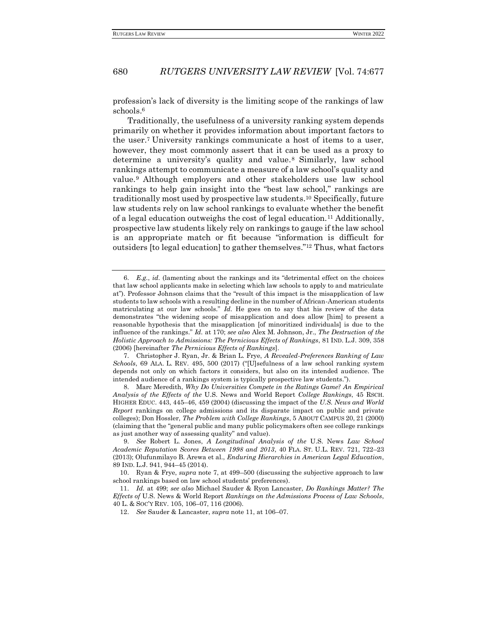profession's lack of diversity is the limiting scope of the rankings of law schools.<sup>6</sup>

Traditionally, the usefulness of a university ranking system depends primarily on whether it provides information about important factors to the user.<sup>7</sup> University rankings communicate a host of items to a user, however, they most commonly assert that it can be used as a proxy to determine a university's quality and value. <sup>8</sup> Similarly, law school rankings attempt to communicate a measure of a law school's quality and value. <sup>9</sup> Although employers and other stakeholders use law school rankings to help gain insight into the "best law school," rankings are traditionally most used by prospective law students.<sup>10</sup> Specifically, future law students rely on law school rankings to evaluate whether the benefit of a legal education outweighs the cost of legal education.<sup>11</sup> Additionally, prospective law students likely rely on rankings to gauge if the law school is an appropriate match or fit because "information is difficult for outsiders [to legal education] to gather themselves."<sup>12</sup> Thus, what factors

7. Christopher J. Ryan, Jr. & Brian L. Frye, *A Revealed-Preferences Ranking of Law Schools*, 69 ALA. L. REV. 495, 500 (2017) ("[U]sefulness of a law school ranking system depends not only on which factors it considers, but also on its intended audience. The intended audience of a rankings system is typically prospective law students.").

8. Marc Meredith, *Why Do Universities Compete in the Ratings Game? An Empirical Analysis of the Effects of the* U.S. News and World Report *College Rankings*, 45 RSCH. HIGHER EDUC. 443, 445–46, 459 (2004) (discussing the impact of the *U.S. News and World Report* rankings on college admissions and its disparate impact on public and private colleges); Don Hossler, *The Problem with College Rankings*, 5 ABOUT CAMPUS 20, 21 (2000) (claiming that the "general public and many public policymakers often see college rankings as just another way of assessing quality" and value).

10. Ryan & Frye, *supra* note 7, at 499–500 (discussing the subjective approach to law school rankings based on law school students' preferences).

11. *Id.* at 499; *see also* Michael Sauder & Ryon Lancaster, *Do Rankings Matter? The Effects of* U.S. News & World Report *Rankings on the Admissions Process of Law Schools*, 40 L. & SOC'Y REV. 105, 106–07, 116 (2006).

12. *See* Sauder & Lancaster, *supra* note 11, at 106–07.

<sup>6.</sup> *E.g.*, *id.* (lamenting about the rankings and its "detrimental effect on the choices that law school applicants make in selecting which law schools to apply to and matriculate at"). Professor Johnson claims that the "result of this impact is the misapplication of law students to law schools with a resulting decline in the number of African-American students matriculating at our law schools." *Id.* He goes on to say that his review of the data demonstrates "the widening scope of misapplication and does allow [him] to present a reasonable hypothesis that the misapplication [of minoritized individuals] is due to the influence of the rankings." *Id.* at 170; *see also* Alex M. Johnson, Jr., *The Destruction of the Holistic Approach to Admissions: The Pernicious Effects of Rankings*, 81 IND. L.J. 309, 358 (2006) [hereinafter *The Pernicious Effects of Rankings*].

<sup>9.</sup> *See* Robert L. Jones, *A Longitudinal Analysis of the* U.S. News *Law School Academic Reputation Scores Between 1998 and 2013*, 40 FLA. ST. U.L. REV. 721, 722–23 (2013); Olufunmilayo B. Arewa et al., *Enduring Hierarchies in American Legal Education*, 89 IND. L.J. 941, 944–45 (2014).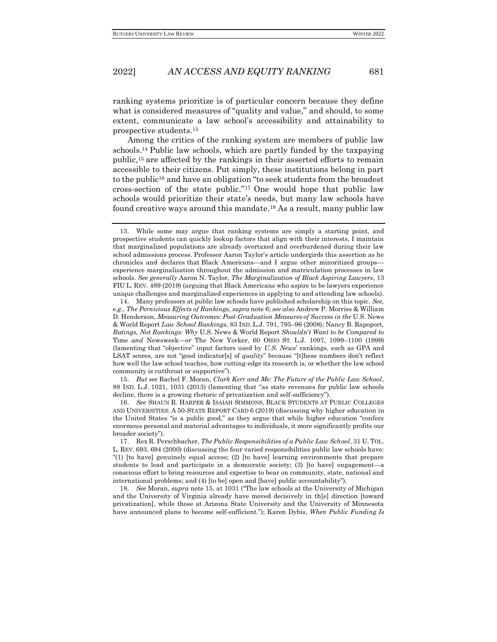ranking systems prioritize is of particular concern because they define what is considered measures of "quality and value," and should, to some extent, communicate a law school's accessibility and attainability to prospective students.<sup>13</sup>

Among the critics of the ranking system are members of public law schools.<sup>14</sup> Public law schools, which are partly funded by the taxpaying public,<sup>15</sup> are affected by the rankings in their asserted efforts to remain accessible to their citizens. Put simply, these institutions belong in part to the public<sup>16</sup> and have an obligation "to seek students from the broadest" cross-section of the state public." <sup>17</sup> One would hope that public law schools would prioritize their state's needs, but many law schools have found creative ways around this mandate.<sup>18</sup> As a result, many public law

15. *But see* Rachel F. Moran, *Clark Kerr and Me: The Future of the Public Law School*, 88 IND. L.J. 1021, 1031 (2013) (lamenting that "as state revenues for public law schools decline, there is a growing rhetoric of privatization and self-sufficiency").

16. *See* SHAUN R. HARPER & ISAIAH SIMMONS, BLACK STUDENTS AT PUBLIC COLLEGES AND UNIVERSITIES: A 50-STATE REPORT CARD 6 (2019) (discussing why higher education in the United States "is a public good," as they argue that while higher education "confers enormous personal and material advantages to individuals, it more significantly profits our broader society").

18. *See* Moran, *supra* note 15, at 1031 ("The law schools at the University of Michigan and the University of Virginia already have moved decisively in th[e] direction [toward privatization], while those at Arizona State University and the University of Minnesota have announced plans to become self-sufficient."); Karen Dybis, *When Public Funding Is* 

<sup>13.</sup> While some may argue that ranking systems are simply a starting point, and prospective students can quickly lookup factors that align with their interests, I maintain that marginalized populations are already overtaxed and overburdened during their law school admissions process. Professor Aaron Taylor's article undergirds this assertion as he chronicles and declares that Black Americans—and I argue other minoritized groups experience marginalization throughout the admission and matriculation processes in law schools. *See generally* Aaron N. Taylor, *The Marginalization of Black Aspiring Lawyers*, 13 FIU L. REV. 489 (2019) (arguing that Black Americans who aspire to be lawyers experience unique challenges and marginalized experiences in applying to and attending law schools).

<sup>14.</sup> Many professors at public law schools have published scholarship on this topic. *See, e.g.*, *The Pernicious Effects of Rankings*, *supra* note 6; *see also* Andrew P. Morriss & William D. Henderson, *Measuring Outcomes: Post-Graduation Measures of Success in the* U.S. News & World Report *Law School Rankings*, 83 IND. L.J. 791, 795–96 (2008); Nancy B. Rapoport, *Ratings, Not Rankings: Why* U.S. News & World Report *Shouldn*'*t Want to be Compared to*  Time *and* Newsweek—*or* The New Yorker, 60 OHIO ST. L.J. 1097, 1099–1100 (1999) (lamenting that "objective" input factors used by *U.S. News*' rankings, such as GPA and LSAT scores, are not "good indicator[s] of *quality*" because "[t]hese numbers don't reflect how well the law school teaches, how cutting-edge its research is, or whether the law school community is cutthroat or supportive").

<sup>17.</sup> Rex R. Perschbacher, *The Public Responsibilities of a Public Law School*, 31 U. TOL. L. REV. 693, 694 (2000) (discussing the four varied responsibilities public law schools have: "(1) [to have] genuinely equal access; (2) [to have] learning environments that prepare students to lead and participate in a democratic society; (3) [to have] engagement—a conscious effort to bring resources and expertise to bear on community, state, national and international problems; and (4) [to be] open and [have] public accountability").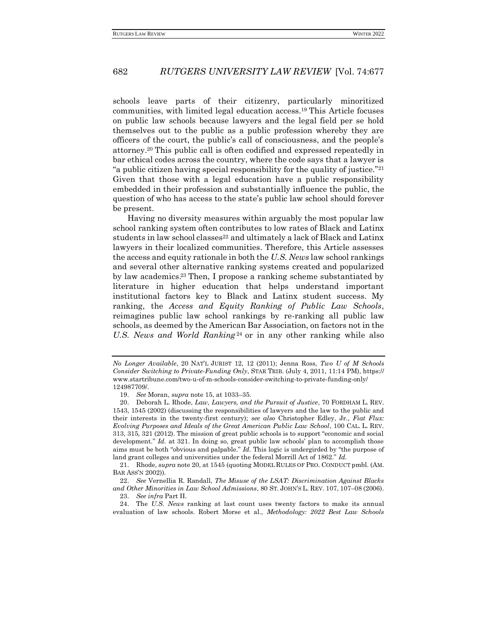schools leave parts of their citizenry, particularly minoritized communities, with limited legal education access.<sup>19</sup> This Article focuses on public law schools because lawyers and the legal field per se hold themselves out to the public as a public profession whereby they are officers of the court, the public's call of consciousness, and the people's attorney.<sup>20</sup> This public call is often codified and expressed repeatedly in bar ethical codes across the country, where the code says that a lawyer is "a public citizen having special responsibility for the quality of justice."<sup>21</sup> Given that those with a legal education have a public responsibility embedded in their profession and substantially influence the public, the question of who has access to the state's public law school should forever be present.

Having no diversity measures within arguably the most popular law school ranking system often contributes to low rates of Black and Latinx students in law school classes<sup>22</sup> and ultimately a lack of Black and Latinx lawyers in their localized communities. Therefore, this Article assesses the access and equity rationale in both the *U.S. News* law school rankings and several other alternative ranking systems created and popularized by law academics. <sup>23</sup> Then, I propose a ranking scheme substantiated by literature in higher education that helps understand important institutional factors key to Black and Latinx student success. My ranking, the *Access and Equity Ranking of Public Law Schools*, reimagines public law school rankings by re-ranking all public law schools, as deemed by the American Bar Association, on factors not in the *U.S. News and World Ranking* <sup>24</sup> or in any other ranking while also

21. Rhode, *supra* note 20, at 1545 (quoting MODEL RULES OF PRO. CONDUCT pmbl. (AM. BAR ASS'N 2002))*.*

22. *See* Vernellia R. Randall, *The Misuse of the LSAT: Discrimination Against Blacks and Other Minorities in Law School Admissions*, 80 ST. JOHN'S L. REV. 107, 107–08 (2006). 23. *See infra* Part II.

24. The *U.S. News* ranking at last count uses twenty factors to make its annual evaluation of law schools. Robert Morse et al., *Methodology: 2022 Best Law Schools* 

*No Longer Available*, 20 NAT'L JURIST 12, 12 (2011); Jenna Ross, *Two U of M Schools Consider Switching to Private-Funding Only*, STAR TRIB. (July 4, 2011, 11:14 PM), https:// www.startribune.com/two-u-of-m-schools-consider-switching-to-private-funding-only/ 124987709/.

<sup>19.</sup> *See* Moran, *supra* note 15, at 1033–35.

<sup>20.</sup> Deborah L. Rhode, *Law, Lawyers, and the Pursuit of Justice*, 70 FORDHAM L. REV. 1543, 1545 (2002) (discussing the responsibilities of lawyers and the law to the public and their interests in the twenty-first century); *see also* Christopher Edley, Jr., *Fiat Flux: Evolving Purposes and Ideals of the Great American Public Law School*, 100 CAL. L. REV. 313, 315, 321 (2012). The mission of great public schools is to support "economic and social development." *Id.* at 321. In doing so, great public law schools' plan to accomplish those aims must be both "obvious and palpable." *Id.* This logic is undergirded by "the purpose of land grant colleges and universities under the federal Morrill Act of 1862." *Id.*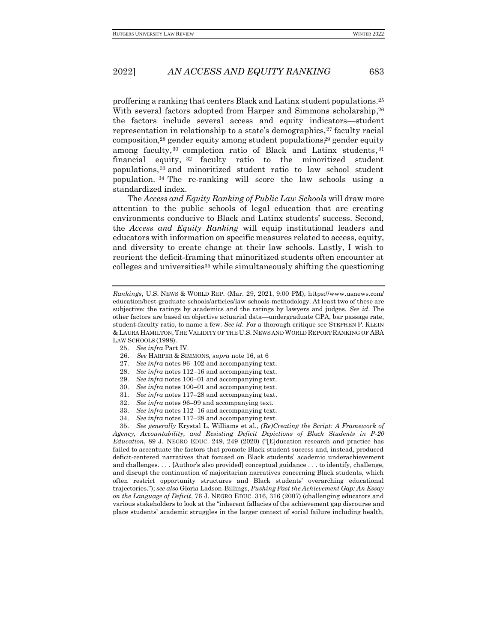proffering a ranking that centers Black and Latinx student populations.<sup>25</sup> With several factors adopted from Harper and Simmons scholarship,<sup>26</sup> the factors include several access and equity indicators—student representation in relationship to a state's demographics, $27$  faculty racial composition,<sup>28</sup> gender equity among student populations, <sup>29</sup> gender equity among faculty,<sup>30</sup> completion ratio of Black and Latinx students,<sup>31</sup> financial equity, <sup>32</sup> faculty ratio to the minoritized student populations, <sup>33</sup> and minoritized student ratio to law school student population. <sup>34</sup> The re-ranking will score the law schools using a standardized index.

The *Access and Equity Ranking of Public Law Schools* will draw more attention to the public schools of legal education that are creating environments conducive to Black and Latinx students' success. Second, the *Access and Equity Ranking* will equip institutional leaders and educators with information on specific measures related to access, equity, and diversity to create change at their law schools. Lastly, I wish to reorient the deficit-framing that minoritized students often encounter at colleges and universities<sup>35</sup> while simultaneously shifting the questioning

- 26. *See* HARPER & SIMMONS, *supra* note 16, at 6
- 27. *See infra* notes 96–102 and accompanying text.
- 28. *See infra* notes 112–16 and accompanying text.
- 29. *See infra* notes 100–01 and accompanying text.
- 30. *See infra* notes 100–01 and accompanying text.
- 31. *See infra* notes 117–28 and accompanying text.
- 32. *See infra* notes 96–99 and accompanying text.
- 33. *See infra* notes 112–16 and accompanying text.
- 34. *See infra* notes 117–28 and accompanying text.

35. *See generally* Krystal L. Williams et al., *(Re)Creating the Script: A Framework of Agency, Accountability, and Resisting Deficit Depictions of Black Students in P-20 Education*, 89 J. NEGRO EDUC. 249, 249 (2020) ("[E]ducation research and practice has failed to accentuate the factors that promote Black student success and, instead, produced deficit-centered narratives that focused on Black students' academic underachievement and challenges. . . . [Author's also provided] conceptual guidance . . . to identify, challenge, and disrupt the continuation of majoritarian narratives concerning Black students, which often restrict opportunity structures and Black students' overarching educational trajectories."); *see also* Gloria Ladson-Billings, *Pushing Past the Achievement Gap: An Essay on the Language of Deficit*, 76 J. NEGRO EDUC. 316, 316 (2007) (challenging educators and various stakeholders to look at the "inherent fallacies of the achievement gap discourse and place students' academic struggles in the larger context of social failure including health,

*Rankings*, U.S. NEWS & WORLD REP. (Mar. 29, 2021, 9:00 PM), https://www.usnews.com/ education/best-graduate-schools/articles/law-schools-methodology. At least two of these are subjective: the ratings by academics and the ratings by lawyers and judges. *See id.* The other factors are based on objective actuarial data—undergraduate GPA, bar passage rate, student-faculty ratio, to name a few. *See id.* For a thorough critique see STEPHEN P. KLEIN & LAURA HAMILTON,THE VALIDITY OF THE U.S. NEWS AND WORLD REPORT RANKING OF ABA LAW SCHOOLS (1998).

<sup>25.</sup> *See infra* Part IV.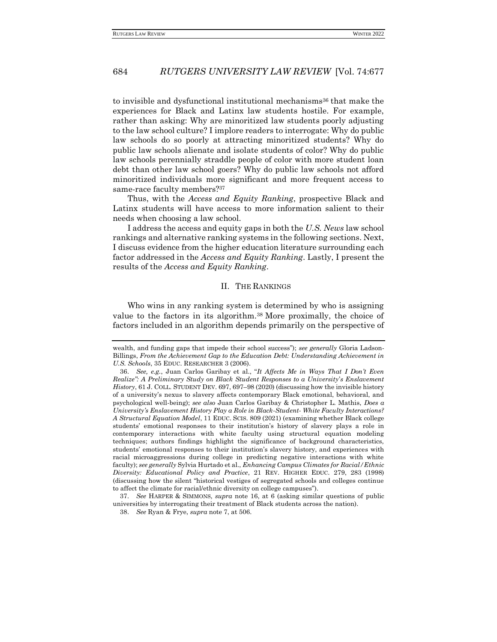to invisible and dysfunctional institutional mechanisms<sup>36</sup> that make the experiences for Black and Latinx law students hostile. For example, rather than asking: Why are minoritized law students poorly adjusting to the law school culture? I implore readers to interrogate: Why do public law schools do so poorly at attracting minoritized students? Why do public law schools alienate and isolate students of color? Why do public law schools perennially straddle people of color with more student loan debt than other law school goers? Why do public law schools not afford minoritized individuals more significant and more frequent access to same-race faculty members?<sup>37</sup>

Thus, with the *Access and Equity Ranking*, prospective Black and Latinx students will have access to more information salient to their needs when choosing a law school.

I address the access and equity gaps in both the *U.S. News* law school rankings and alternative ranking systems in the following sections. Next, I discuss evidence from the higher education literature surrounding each factor addressed in the *Access and Equity Ranking*. Lastly, I present the results of the *Access and Equity Ranking*.

#### II. THE RANKINGS

<span id="page-7-0"></span>Who wins in any ranking system is determined by who is assigning value to the factors in its algorithm.<sup>38</sup> More proximally, the choice of factors included in an algorithm depends primarily on the perspective of

wealth, and funding gaps that impede their school success"); *see generally* Gloria Ladson-Billings, *From the Achievement Gap to the Education Debt: Understanding Achievement in U.S. Schools*, 35 EDUC. RESEARCHER 3 (2006).

<sup>36.</sup> *See, e.g.*, Juan Carlos Garibay et al., "*It Affects Me in Ways That I Don't Even Realize": A Preliminary Study on Black Student Responses to a University*'*s Enslavement History*, 61 J. COLL. STUDENT DEV. 697, 697–98 (2020) (discussing how the invisible history of a university's nexus to slavery affects contemporary Black emotional, behavioral, and psychological well-being); *see also* Juan Carlos Garibay & Christopher L. Mathis, *Does a University's Enslavement History Play a Role in Black-Student- White Faculty Interactions? A Structural Equation Model*, 11 EDUC. SCIS. 809 (2021) (examining whether Black college students' emotional responses to their institution's history of slavery plays a role in contemporary interactions with white faculty using structural equation modeling techniques; authors findings highlight the significance of background characteristics, students' emotional responses to their institution's slavery history, and experiences with racial microaggressions during college in predicting negative interactions with white faculty); *see generally* Sylvia Hurtado et al., *Enhancing Campus Climates for Racial/Ethnic Diversity: Educational Policy and Practice*, 21 REV. HIGHER EDUC. 279, 283 (1998) (discussing how the silent "historical vestiges of segregated schools and colleges continue to affect the climate for racial/ethnic diversity on college campuses").

<sup>37.</sup> *See* HARPER & SIMMONS, *supra* note 16, at 6 (asking similar questions of public universities by interrogating their treatment of Black students across the nation).

<sup>38.</sup> *See* Ryan & Frye, *supra* note 7, at 506.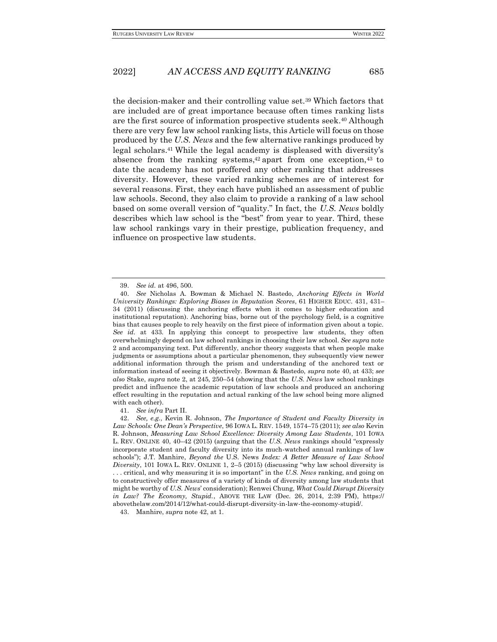the decision-maker and their controlling value set.<sup>39</sup> Which factors that are included are of great importance because often times ranking lists are the first source of information prospective students seek.<sup>40</sup> Although there are very few law school ranking lists, this Article will focus on those produced by the *U.S. News* and the few alternative rankings produced by legal scholars.<sup>41</sup> While the legal academy is displeased with diversity's absence from the ranking systems, <sup>42</sup> apart from one exception, <sup>43</sup> to date the academy has not proffered any other ranking that addresses diversity. However, these varied ranking schemes are of interest for several reasons. First, they each have published an assessment of public law schools. Second, they also claim to provide a ranking of a law school based on some overall version of "quality." In fact, the *U.S. News* boldly describes which law school is the "best" from year to year. Third, these law school rankings vary in their prestige, publication frequency, and influence on prospective law students.

41. *See infra* Part II.

43. Manhire, *supra* note 42, at 1.

<sup>39.</sup> *See id.* at 496, 500.

<sup>40.</sup> *See* Nicholas A. Bowman & Michael N. Bastedo, *Anchoring Effects in World University Rankings: Exploring Biases in Reputation Scores*, 61 HIGHER EDUC. 431, 431– 34 (2011) (discussing the anchoring effects when it comes to higher education and institutional reputation). Anchoring bias, borne out of the psychology field, is a cognitive bias that causes people to rely heavily on the first piece of information given about a topic. *See id.* at 433*.* In applying this concept to prospective law students, they often overwhelmingly depend on law school rankings in choosing their law school. *See supra* note 2 and accompanying text. Put differently, anchor theory suggests that when people make judgments or assumptions about a particular phenomenon, they subsequently view newer additional information through the prism and understanding of the anchored text or information instead of seeing it objectively. Bowman & Bastedo, *supra* note 40, at 433; *see also* Stake, *supra* note 2, at 245, 250–54 (showing that the *U.S. News* law school rankings predict and influence the academic reputation of law schools and produced an anchoring effect resulting in the reputation and actual ranking of the law school being more aligned with each other).

<sup>42.</sup> *See, e.g.*, Kevin R. Johnson, *The Importance of Student and Faculty Diversity in Law Schools: One Dean's Perspective*, 96 IOWA L. REV. 1549, 1574–75 (2011); *see also* Kevin R. Johnson, *Measuring Law School Excellence: Diversity Among Law Students*, 101 IOWA L. REV. ONLINE 40, 40–42 (2015) (arguing that the *U.S. News* rankings should "expressly incorporate student and faculty diversity into its much-watched annual rankings of law schools"); J.T. Manhire, *Beyond the* U.S. News *Index: A Better Measure of Law School Diversity*, 101 IOWA L. REV. ONLINE 1, 2–5 (2015) (discussing "why law school diversity is . . . critical, and why measuring it is so important" in the *U.S. News* ranking, and going on to constructively offer measures of a variety of kinds of diversity among law students that might be worthy of *U.S. News*' consideration); Renwei Chung, *What Could Disrupt Diversity in Law? The Economy, Stupid.*, ABOVE THE LAW (Dec. 26, 2014, 2:39 PM), https:// abovethelaw.com/2014/12/what-could-disrupt-diversity-in-law-the-economy-stupid/.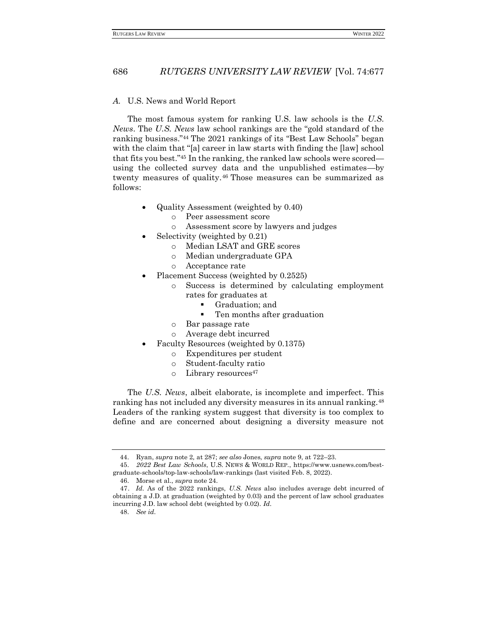#### <span id="page-9-0"></span>*A.* U.S. News and World Report

The most famous system for ranking U.S. law schools is the *U.S. News*. The *U.S. News* law school rankings are the "gold standard of the ranking business."<sup>44</sup> The 2021 rankings of its "Best Law Schools" began with the claim that "[a] career in law starts with finding the [law] school that fits you best."<sup>45</sup> In the ranking, the ranked law schools were scored using the collected survey data and the unpublished estimates—by twenty measures of quality.<sup>46</sup> Those measures can be summarized as follows:

- Quality Assessment (weighted by 0.40)
	- o Peer assessment score
	- o Assessment score by lawyers and judges
- Selectivity (weighted by 0.21)
	- o Median LSAT and GRE scores
	- o Median undergraduate GPA
	- o Acceptance rate
- Placement Success (weighted by  $0.2525$ )
	- o Success is determined by calculating employment rates for graduates at
		- Graduation; and
		- Ten months after graduation
	- o Bar passage rate
	- o Average debt incurred
- Faculty Resources (weighted by 0.1375)
	- o Expenditures per student
	- o Student-faculty ratio
	- o Library resources<sup>47</sup>

The *U.S. News*, albeit elaborate, is incomplete and imperfect. This ranking has not included any diversity measures in its annual ranking.<sup>48</sup> Leaders of the ranking system suggest that diversity is too complex to define and are concerned about designing a diversity measure not

<sup>44.</sup> Ryan, *supra* note 2*,* at 287; *see also* Jones, *supra* note 9, at 722–23.

<sup>45.</sup> *2022 Best Law Schools*, U.S. NEWS & WORLD REP., https://www.usnews.com/bestgraduate-schools/top-law-schools/law-rankings (last visited Feb. 8, 2022).

<sup>46.</sup> Morse et al., *supra* note 24.

 <sup>47.</sup> *Id.* As of the 2022 rankings, *U.S. News* also includes average debt incurred of obtaining a J.D. at graduation (weighted by 0.03) and the percent of law school graduates incurring J.D. law school debt (weighted by 0.02). *Id.*

<sup>48.</sup> *See id.*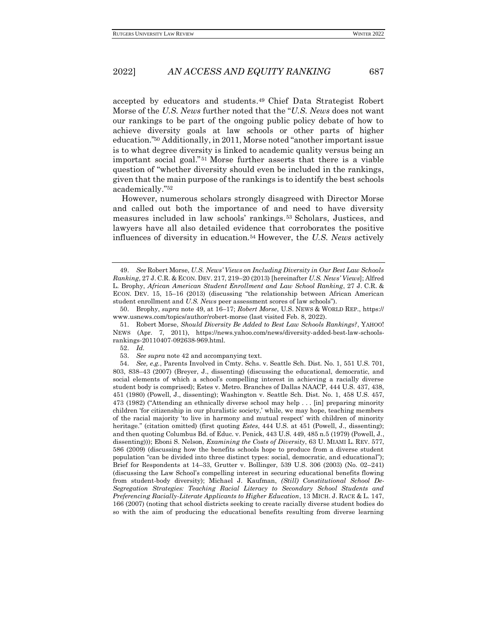accepted by educators and students. <sup>49</sup> Chief Data Strategist Robert Morse of the *U.S. News* further noted that the "*U.S. News* does not want our rankings to be part of the ongoing public policy debate of how to achieve diversity goals at law schools or other parts of higher education." <sup>50</sup> Additionally, in 2011, Morse noted "another important issue is to what degree diversity is linked to academic quality versus being an important social goal." <sup>51</sup> Morse further asserts that there is a viable question of "whether diversity should even be included in the rankings, given that the main purpose of the rankings is to identify the best schools academically."<sup>52</sup>

However, numerous scholars strongly disagreed with Director Morse and called out both the importance of and need to have diversity measures included in law schools' rankings.<sup>53</sup> Scholars, Justices, and lawyers have all also detailed evidence that corroborates the positive influences of diversity in education.<sup>54</sup> However, the *U.S. News* actively

<sup>49.</sup> *See* Robert Morse, *U.S. News' Views on Including Diversity in Our Best Law Schools Ranking*, 27 J. C.R. & ECON. DEV. 217, 219–20 (2013) [hereinafter *U.S. News' Views*]; Alfred L. Brophy, *African American Student Enrollment and Law School Ranking*, 27 J. C.R. & ECON. DEV. 15, 15–16 (2013) (discussing "the relationship between African American student enrollment and *U.S. News* peer assessment scores of law schools").

<sup>50.</sup> Brophy, *supra* note 49, at 16–17; *Robert Morse*, U.S. NEWS & WORLD REP., https:// www.usnews.com/topics/author/robert-morse (last visited Feb. 8, 2022).

<sup>51.</sup> Robert Morse, *Should Diversity Be Added to Best Law Schools Rankings?*, YAHOO! NEWS (Apr. 7, 2011), https://news.yahoo.com/news/diversity-added-best-law-schoolsrankings-20110407-092638-969.html.

<sup>52.</sup> *Id.*

<sup>53.</sup> *See supra* note 42 and accompanying text.

<sup>54.</sup> *See, e.g.*, Parents Involved in Cmty. Schs. v. Seattle Sch. Dist. No. 1, 551 U.S. 701, 803, 838–43 (2007) (Breyer, J., dissenting) (discussing the educational, democratic, and social elements of which a school's compelling interest in achieving a racially diverse student body is comprised); Estes v. Metro. Branches of Dallas NAACP, 444 U.S. 437, 438, 451 (1980) (Powell, J., dissenting); Washington v. Seattle Sch. Dist. No. 1, 458 U.S. 457, 473 (1982) ("Attending an ethnically diverse school may help . . . [in] preparing minority children 'for citizenship in our pluralistic society,' while, we may hope, teaching members of the racial majority 'to live in harmony and mutual respect' with children of minority heritage." (citation omitted) (first quoting *Estes*, 444 U.S. at 451 (Powell, J., dissenting); and then quoting Columbus Bd. of Educ. v. Penick, 443 U.S. 449, 485 n.5 (1979) (Powell, J., dissenting))); Eboni S. Nelson, *Examining the Costs of Diversity*, 63 U. MIAMI L. REV. 577, 586 (2009) (discussing how the benefits schools hope to produce from a diverse student population "can be divided into three distinct types: social, democratic, and educational"); Brief for Respondents at 14–33, Grutter v. Bollinger, 539 U.S. 306 (2003) (No. 02–241) (discussing the Law School's compelling interest in securing educational benefits flowing from student-body diversity); Michael J. Kaufman, *(Still) Constitutional School De-Segregation Strategies: Teaching Racial Literacy to Secondary School Students and Preferencing Racially-Literate Applicants to Higher Education*, 13 MICH. J. RACE & L. 147, 166 (2007) (noting that school districts seeking to create racially diverse student bodies do so with the aim of producing the educational benefits resulting from diverse learning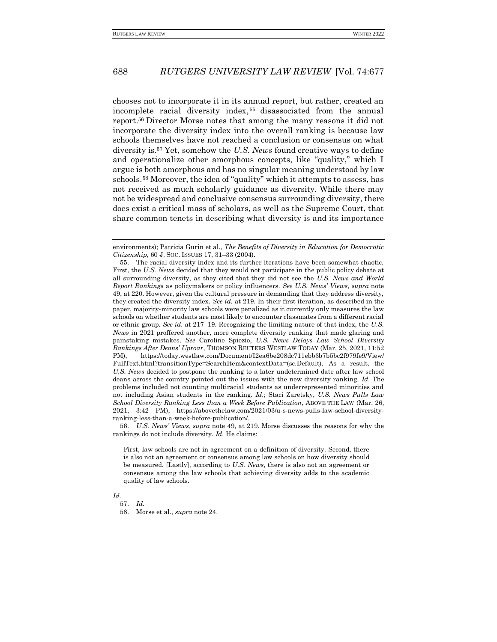chooses not to incorporate it in its annual report, but rather, created an incomplete racial diversity index, <sup>55</sup> disassociated from the annual report.<sup>56</sup> Director Morse notes that among the many reasons it did not incorporate the diversity index into the overall ranking is because law schools themselves have not reached a conclusion or consensus on what diversity is.<sup>57</sup> Yet, somehow the *U.S. News* found creative ways to define and operationalize other amorphous concepts, like "quality," which I argue is both amorphous and has no singular meaning understood by law schools. <sup>58</sup> Moreover, the idea of "quality" which it attempts to assess, has not received as much scholarly guidance as diversity. While there may not be widespread and conclusive consensus surrounding diversity, there does exist a critical mass of scholars, as well as the Supreme Court, that share common tenets in describing what diversity is and its importance

56. *U.S. News' Views*, *supra* note 49, at 219. Morse discusses the reasons for why the rankings do not include diversity. *Id.* He claims:

*Id.*

57. *Id.*

58. Morse et al., *supra* note 24.

environments); Patricia Gurin et al., *The Benefits of Diversity in Education for Democratic Citizenship*, 60 J. SOC. ISSUES 17, 31–33 (2004).

<sup>55.</sup> The racial diversity index and its further iterations have been somewhat chaotic. First, the *U.S. News* decided that they would not participate in the public policy debate at all surrounding diversity, as they cited that they did not see the *U.S. News and World Report Rankings* as policymakers or policy influencers. *See U.S. News' Views*, *supra* note 49, at 220. However, given the cultural pressure in demanding that they address diversity, they created the diversity index. *See id.* at 219. In their first iteration, as described in the paper, majority-minority law schools were penalized as it currently only measures the law schools on whether students are most likely to encounter classmates from a different racial or ethnic group. *See id.* at 217–19. Recognizing the limiting nature of that index, the *U.S. News* in 2021 proffered another, more complete diversity ranking that made glaring and painstaking mistakes. *See* Caroline Spiezio, *U.S. News Delays Law School Diversity Rankings After Deans' Uproar*, THOMSON REUTERS WESTLAW TODAY (Mar. 25, 2021, 11:52 PM), https://today.westlaw.com/Document/I2ea6be208dc711ebb3b7b5bc2f979fe9/View/ FullText.html?transitionType=SearchItem&contextData=(sc.Default). As a result, the *U.S. News* decided to postpone the ranking to a later undetermined date after law school deans across the country pointed out the issues with the new diversity ranking. *Id.* The problems included not counting multiracial students as underrepresented minorities and not including Asian students in the ranking. *Id.*; Staci Zaretsky, *U.S. News Pulls Law School Diversity Ranking Less than a Week Before Publication*, ABOVE THE LAW (Mar. 26, 2021, 3:42 PM), https://abovethelaw.com/2021/03/u-s-news-pulls-law-school-diversityranking-less-than-a-week-before-publication/.

First, law schools are not in agreement on a definition of diversity. Second, there is also not an agreement or consensus among law schools on how diversity should be measured. [Lastly], according to *U.S. News*, there is also not an agreement or consensus among the law schools that achieving diversity adds to the academic quality of law schools.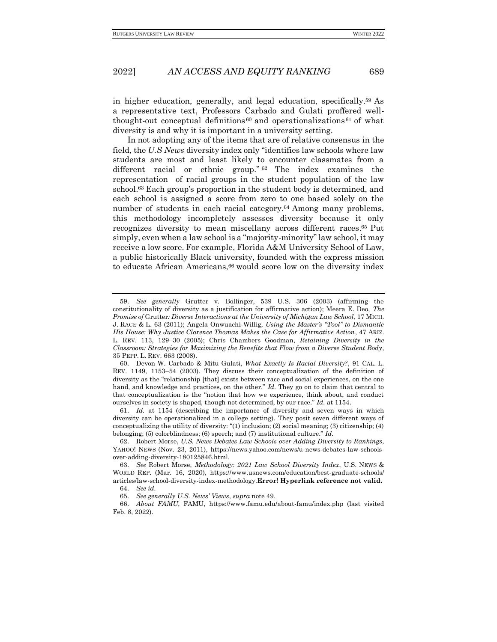in higher education, generally, and legal education, specifically. <sup>59</sup> As a representative text, Professors Carbado and Gulati proffered wellthought-out conceptual definitions  $60$  and operationalizations  $61$  of what diversity is and why it is important in a university setting.

In not adopting any of the items that are of relative consensus in the field, the *U.S News* diversity index only "identifies law schools where law students are most and least likely to encounter classmates from a different racial or ethnic group."<sup>62</sup> The index examines the representation of racial groups in the student population of the law school.<sup>63</sup> Each group's proportion in the student body is determined, and each school is assigned a score from zero to one based solely on the number of students in each racial category.<sup>64</sup> Among many problems, this methodology incompletely assesses diversity because it only recognizes diversity to mean miscellany across different races. <sup>65</sup> Put simply, even when a law school is a "majority-minority" law school, it may receive a low score. For example, Florida A&M University School of Law, a public historically Black university, founded with the express mission to educate African Americans,<sup>66</sup> would score low on the diversity index

61. *Id.* at 1154 (describing the importance of diversity and seven ways in which diversity can be operationalized in a college setting). They posit seven different ways of conceptualizing the utility of diversity: "(1) inclusion; (2) social meaning; (3) citizenship; (4) belonging; (5) colorblindness; (6) speech; and (7) institutional culture." *Id.*

<sup>59.</sup> *See generally* Grutter v. Bollinger, 539 U.S. 306 (2003) (affirming the constitutionality of diversity as a justification for affirmative action); Meera E. Deo, *The Promise of* Grutter*: Diverse Interactions at the University of Michigan Law School*, 17 MICH. J. RACE & L. 63 (2011); Angela Onwuachi-Willig, *Using the Master's "Tool" to Dismantle His House: Why Justice Clarence Thomas Makes the Case for Affirmative Action*, 47 ARIZ. L. REV. 113, 129–30 (2005); Chris Chambers Goodman, *Retaining Diversity in the Classroom: Strategies for Maximizing the Benefits that Flow from a Diverse Student Body*, 35 PEPP. L. REV. 663 (2008).

<sup>60.</sup> Devon W. Carbado & Mitu Gulati, *What Exactly Is Racial Diversity?*, 91 CAL. L. REV. 1149, 1153–54 (2003). They discuss their conceptualization of the definition of diversity as the "relationship [that] exists between race and social experiences, on the one hand, and knowledge and practices, on the other." *Id.* They go on to claim that central to that conceptualization is the "notion that how we experience, think about, and conduct ourselves in society is shaped, though not determined, by our race." *Id.* at 1154.

<sup>62.</sup> Robert Morse, *U.S. News Debates Law Schools over Adding Diversity to Rankings*, YAHOO! NEWS (Nov. 23, 2011), https://news.yahoo.com/news/u-news-debates-law-schoolsover-adding-diversity-180125846.html.

<sup>63.</sup> *See* Robert Morse, *Methodology: 2021 Law School Diversity Index*, U.S. NEWS & WORLD REP. (Mar. 16, 2020), https://www.usnews.com/education/best-graduate-schools/ articles/law-school-diversity-index-methodology.**Error! Hyperlink reference not valid.** 64. *See id.*

<sup>65.</sup> *See generally U.S. News' Views*, *supra* note 49.

<sup>66.</sup> *About FAMU*, FAMU, https://www.famu.edu/about-famu/index.php (last visited Feb. 8, 2022).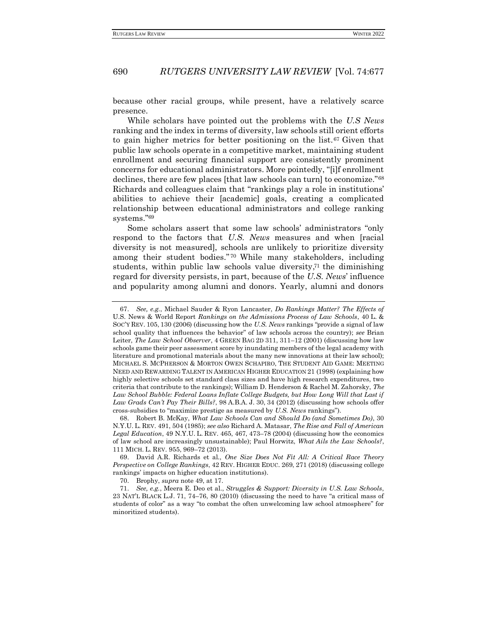because other racial groups, while present, have a relatively scarce presence.

While scholars have pointed out the problems with the *U.S News*  ranking and the index in terms of diversity, law schools still orient efforts to gain higher metrics for better positioning on the list.<sup>67</sup> Given that public law schools operate in a competitive market, maintaining student enrollment and securing financial support are consistently prominent concerns for educational administrators. More pointedly, "[i]f enrollment declines, there are few places [that law schools can turn] to economize."<sup>68</sup> Richards and colleagues claim that "rankings play a role in institutions' abilities to achieve their [academic] goals, creating a complicated relationship between educational administrators and college ranking systems."<sup>69</sup>

Some scholars assert that some law schools' administrators "only respond to the factors that *U.S. News* measures and when [racial diversity is not measured], schools are unlikely to prioritize diversity among their student bodies." <sup>70</sup> While many stakeholders, including students, within public law schools value diversity, <sup>71</sup> the diminishing regard for diversity persists, in part, because of the *U.S. News*' influence and popularity among alumni and donors. Yearly, alumni and donors

<sup>67.</sup> *See, e.g.*, Michael Sauder & Ryon Lancaster, *Do Rankings Matter? The Effects of*  U.S. News & World Report *Rankings on the Admissions Process of Law Schools*, 40 L. & SOC'Y REV. 105, 130 (2006) (discussing how the *U.S. News* rankings "provide a signal of law school quality that influences the behavior" of law schools across the country); *see* Brian Leiter, *The Law School Observer*, 4 GREEN BAG 2D 311, 311–12 (2001) (discussing how law schools game their peer assessment score by inundating members of the legal academy with literature and promotional materials about the many new innovations at their law school); MICHAEL S. MCPHERSON & MORTON OWEN SCHAPIRO, THE STUDENT AID GAME: MEETING NEED AND REWARDING TALENT IN AMERICAN HIGHER EDUCATION 21 (1998) (explaining how highly selective schools set standard class sizes and have high research expenditures, two criteria that contribute to the rankings); William D. Henderson & Rachel M. Zahorsky, *The*  Law School Bubble: Federal Loans Inflate College Budgets, but How Long Will that Last if *Law Grads Can't Pay Their Bills?*, 98 A.B.A. J. 30, 34 (2012) (discussing how schools offer cross-subsidies to "maximize prestige as measured by *U.S. News* rankings").

<sup>68.</sup> Robert B. McKay, *What Law Schools Can and Should Do (and Sometimes Do)*, 30 N.Y.U. L. REV. 491, 504 (1985); *see also* Richard A. Matasar, *The Rise and Fall of American Legal Education*, 49 N.Y.U. L. REV. 465, 467, 473–78 (2004) (discussing how the economics of law school are increasingly unsustainable); Paul Horwitz, *What Ails the Law Schools?*, 111 MICH. L. REV. 955, 969–72 (2013).

<sup>69.</sup> David A.R. Richards et al., *One Size Does Not Fit All: A Critical Race Theory Perspective on College Rankings*, 42 REV. HIGHER EDUC. 269, 271 (2018) (discussing college rankings' impacts on higher education institutions).

<sup>70.</sup> Brophy, *supra* note 49, at 17.

<sup>71.</sup> *See, e.g.*, Meera E. Deo et al., *Struggles & Support: Diversity in U.S. Law Schools*, 23 NAT'L BLACK L.J. 71, 74–76, 80 (2010) (discussing the need to have "a critical mass of students of color" as a way "to combat the often unwelcoming law school atmosphere" for minoritized students).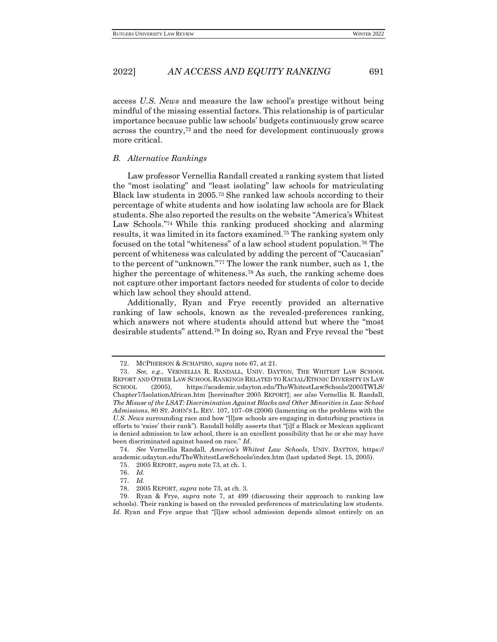access *U.S. News* and measure the law school's prestige without being mindful of the missing essential factors. This relationship is of particular importance because public law schools' budgets continuously grow scarce across the country, $72$  and the need for development continuously grows more critical.

#### <span id="page-14-0"></span>*B. Alternative Rankings*

Law professor Vernellia Randall created a ranking system that listed the "most isolating" and "least isolating" law schools for matriculating Black law students in 2005.<sup>73</sup> She ranked law schools according to their percentage of white students and how isolating law schools are for Black students. She also reported the results on the website "America's Whitest Law Schools." <sup>74</sup> While this ranking produced shocking and alarming results, it was limited in its factors examined.<sup>75</sup> The ranking system only focused on the total "whiteness" of a law school student population.<sup>76</sup> The percent of whiteness was calculated by adding the percent of "Caucasian" to the percent of "unknown."<sup>77</sup> The lower the rank number, such as 1, the higher the percentage of whiteness.<sup>78</sup> As such, the ranking scheme does not capture other important factors needed for students of color to decide which law school they should attend.

Additionally, Ryan and Frye recently provided an alternative ranking of law schools, known as the revealed-preferences ranking, which answers not where students should attend but where the "most desirable students" attend.<sup>79</sup> In doing so, Ryan and Frye reveal the "best

<sup>72.</sup> MCPHERSON & SCHAPIRO, *supra* note 67, at 21.

<sup>73.</sup> *See, e.g.*, VERNELLIA R. RANDALL, UNIV. DAYTON, THE WHITEST LAW SCHOOL REPORT AND OTHER LAW SCHOOL RANKINGS RELATED TO RACIAL/ETHNIC DIVERSITY IN LAW SCHOOL (2005), https://academic.udayton.edu/TheWhitestLawSchools/2005TWLS/ Chapter7/IsolationAfrican.htm [hereinafter 2005 REPORT]; *see also* Vernellia R. Randall, *The Misuse of the LSAT: Discrimination Against Blacks and Other Minorities in Law School Admissions*, 80 ST. JOHN'S L. REV. 107, 107–08 (2006) (lamenting on the problems with the *U.S. News* surrounding race and how "[l]aw schools are engaging in disturbing practices in efforts to 'raise' their rank"). Randall boldly asserts that "[i]f a Black or Mexican applicant is denied admission to law school, there is an excellent possibility that he or she may have been discriminated against based on race." *Id.*

<sup>74.</sup> *See* Vernellia Randall, *America's Whitest Law Schools*, UNIV. DAYTON, https:// academic.udayton.edu/TheWhitestLawSchools/index.htm (last updated Sept. 15, 2005)*.*

<sup>75.</sup> 2005 REPORT, *supra* note 73, at ch. 1.

<sup>76.</sup> *Id.*

<sup>77.</sup> *Id.*

<sup>78.</sup> 2005 REPORT, *supra* note 73, at ch. 3.

<sup>79.</sup> Ryan & Frye, *supra* note 7, at 499 (discussing their approach to ranking law schools). Their ranking is based on the revealed preferences of matriculating law students. *Id.* Ryan and Frye argue that "[l]aw school admission depends almost entirely on an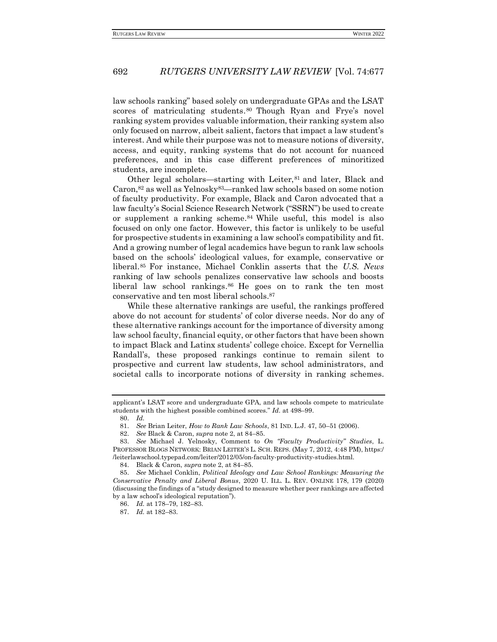law schools ranking" based solely on undergraduate GPAs and the LSAT scores of matriculating students. <sup>80</sup> Though Ryan and Frye's novel ranking system provides valuable information, their ranking system also only focused on narrow, albeit salient, factors that impact a law student's interest. And while their purpose was not to measure notions of diversity, access, and equity, ranking systems that do not account for nuanced preferences, and in this case different preferences of minoritized students, are incomplete.

Other legal scholars—starting with Leiter, <sup>81</sup> and later, Black and Caron,<sup>82</sup> as well as Yelnosky83—ranked law schools based on some notion of faculty productivity. For example, Black and Caron advocated that a law faculty's Social Science Research Network ("SSRN") be used to create or supplement a ranking scheme. <sup>84</sup> While useful, this model is also focused on only one factor. However, this factor is unlikely to be useful for prospective students in examining a law school's compatibility and fit. And a growing number of legal academics have begun to rank law schools based on the schools' ideological values, for example, conservative or liberal. <sup>85</sup> For instance, Michael Conklin asserts that the *U.S. News* ranking of law schools penalizes conservative law schools and boosts liberal law school rankings. <sup>86</sup> He goes on to rank the ten most conservative and ten most liberal schools.<sup>87</sup>

While these alternative rankings are useful, the rankings proffered above do not account for students' of color diverse needs. Nor do any of these alternative rankings account for the importance of diversity among law school faculty, financial equity, or other factors that have been shown to impact Black and Latinx students' college choice. Except for Vernellia Randall's, these proposed rankings continue to remain silent to prospective and current law students, law school administrators, and societal calls to incorporate notions of diversity in ranking schemes.

applicant's LSAT score and undergraduate GPA, and law schools compete to matriculate students with the highest possible combined scores." *Id.* at 498–99.

<sup>80.</sup> *Id.*

<sup>81.</sup> *See* Brian Leiter, *How to Rank Law Schools*, 81 IND. L.J. 47, 50–51 (2006).

<sup>82.</sup> *See* Black & Caron, *supra* note 2, at 84–85.

<sup>83.</sup> *See* Michael J. Yelnosky, Comment to *On "Faculty Productivity" Studies*, L. PROFESSOR BLOGS NETWORK: BRIAN LEITER'S L. SCH. REPS. (May 7, 2012, 4:48 PM), https:/ /leiterlawschool.typepad.com/leiter/2012/05/on-faculty-productivity-studies.html.

<sup>84.</sup> Black & Caron, *supra* note 2, at 84–85.

<sup>85.</sup> *See* Michael Conklin, *Political Ideology and Law School Rankings: Measuring the Conservative Penalty and Liberal Bonus*, 2020 U. ILL. L. REV. ONLINE 178, 179 (2020) (discussing the findings of a "study designed to measure whether peer rankings are affected by a law school's ideological reputation").

<sup>86.</sup> *Id.* at 178–79, 182–83.

<sup>87.</sup> *Id.* at 182–83.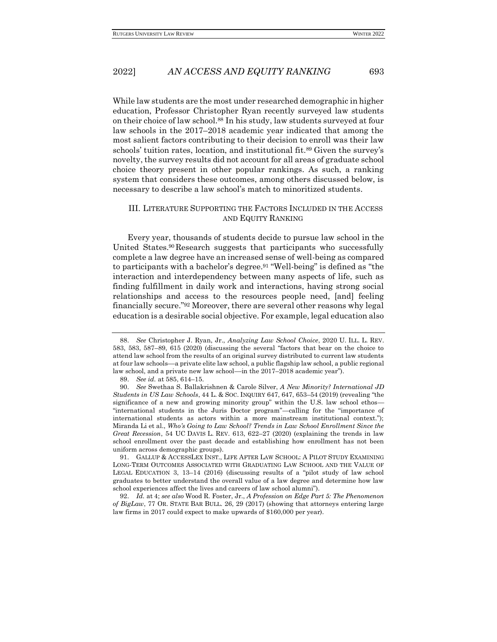While law students are the most under researched demographic in higher education, Professor Christopher Ryan recently surveyed law students on their choice of law school.<sup>88</sup> In his study, law students surveyed at four law schools in the 2017–2018 academic year indicated that among the most salient factors contributing to their decision to enroll was their law schools' tuition rates, location, and institutional fit.<sup>89</sup> Given the survey's novelty, the survey results did not account for all areas of graduate school choice theory present in other popular rankings. As such, a ranking system that considers these outcomes, among others discussed below, is necessary to describe a law school's match to minoritized students.

#### <span id="page-16-0"></span>III. LITERATURE SUPPORTING THE FACTORS INCLUDED IN THE ACCESS AND EQUITY RANKING

Every year, thousands of students decide to pursue law school in the United States.<sup>90</sup>Research suggests that participants who successfully complete a law degree have an increased sense of well-being as compared to participants with a bachelor's degree.<sup>91</sup> "Well-being" is defined as "the interaction and interdependency between many aspects of life, such as finding fulfillment in daily work and interactions, having strong social relationships and access to the resources people need, [and] feeling financially secure."<sup>92</sup> Moreover, there are several other reasons why legal education is a desirable social objective. For example, legal education also

<sup>88.</sup> *See* Christopher J. Ryan, Jr., *Analyzing Law School Choice*, 2020 U. ILL. L. REV. 583, 583, 587–89, 615 (2020) (discussing the several "factors that bear on the choice to attend law school from the results of an original survey distributed to current law students at four law schools––a private elite law school, a public flagship law school, a public regional law school, and a private new law school––in the 2017–2018 academic year").

<sup>89.</sup> *See id.* at 585, 614–15.

<sup>90.</sup> *See* Swethaa S. Ballakrishnen & Carole Silver, *A New Minority? International JD Students in US Law Schools*, 44 L. & SOC. INQUIRY 647, 647, 653–54 (2019) (revealing "the significance of a new and growing minority group" within the U.S. law school ethos— "international students in the Juris Doctor program"—calling for the "importance of international students as actors within a more mainstream institutional context."); Miranda Li et al., *Who's Going to Law School? Trends in Law School Enrollment Since the Great Recession*, 54 UC DAVIS L. REV. 613, 622–27 (2020) (explaining the trends in law school enrollment over the past decade and establishing how enrollment has not been uniform across demographic groups).

<sup>91.</sup> GALLUP & ACCESSLEX INST., LIFE AFTER LAW SCHOOL: A PILOT STUDY EXAMINING LONG-TERM OUTCOMES ASSOCIATED WITH GRADUATING LAW SCHOOL AND THE VALUE OF LEGAL EDUCATION 3, 13–14 (2016) (discussing results of a "pilot study of law school graduates to better understand the overall value of a law degree and determine how law school experiences affect the lives and careers of law school alumni").

<sup>92.</sup> *Id.* at 4; *see also* Wood R. Foster, Jr., *A Profession on Edge Part 5: The Phenomenon of BigLaw*, 77 OR. STATE BAR BULL. 26, 29 (2017) (showing that attorneys entering large law firms in 2017 could expect to make upwards of \$160,000 per year).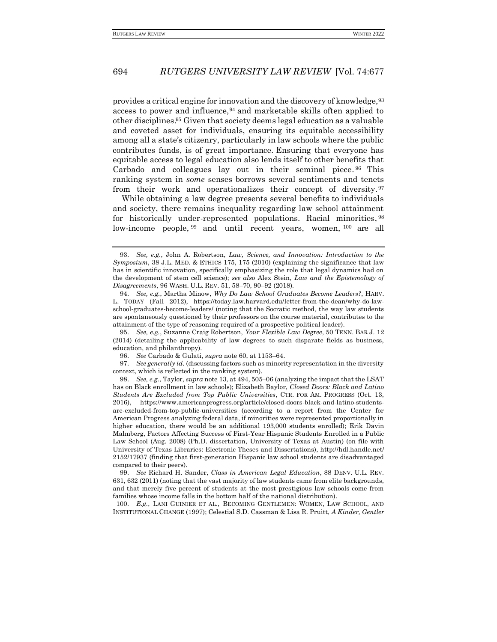provides a critical engine for innovation and the discovery of knowledge, <sup>93</sup> access to power and influence,  $94$  and marketable skills often applied to other disciplines. <sup>95</sup> Given that society deems legal education as a valuable and coveted asset for individuals, ensuring its equitable accessibility among all a state's citizenry, particularly in law schools where the public contributes funds, is of great importance. Ensuring that everyone has equitable access to legal education also lends itself to other benefits that Carbado and colleagues lay out in their seminal piece. <sup>96</sup> This ranking system in *some* senses borrows several sentiments and tenets from their work and operationalizes their concept of diversity.<sup>97</sup>

While obtaining a law degree presents several benefits to individuals and society, there remains inequality regarding law school attainment for historically under-represented populations. Racial minorities, 98 low-income people, <sup>99</sup> and until recent years, women, <sup>100</sup> are all

97. *See generally id.* (discussing factors such as minority representation in the diversity context, which is reflected in the ranking system).

98. *See, e.g.*, Taylor, *supra* note 13, at 494, 505–06 (analyzing the impact that the LSAT has on Black enrollment in law schools); Elizabeth Baylor, *Closed Doors: Black and Latino Students Are Excluded from Top Public Universities*, CTR. FOR AM. PROGRESS (Oct. 13, 2016), https://www.americanprogress.org/article/closed-doors-black-and-latino-studentsare-excluded-from-top-public-universities (according to a report from the Center for American Progress analyzing federal data, if minorities were represented proportionally in higher education, there would be an additional 193,000 students enrolled); Erik Davin Malmberg, Factors Affecting Success of First-Year Hispanic Students Enrolled in a Public Law School (Aug. 2008) (Ph.D. dissertation, University of Texas at Austin) (on file with University of Texas Libraries: Electronic Theses and Dissertations), http://hdl.handle.net/ 2152/17937 (finding that first-generation Hispanic law school students are disadvantaged compared to their peers).

99. *See* Richard H. Sander, *Class in American Legal Education*, 88 DENV. U.L. REV. 631, 632 (2011) (noting that the vast majority of law students came from elite backgrounds, and that merely five percent of students at the most prestigious law schools come from families whose income falls in the bottom half of the national distribution).

100. *E.g.*, LANI GUINIER ET AL., BECOMING GENTLEMEN: WOMEN, LAW SCHOOL, AND INSTITUTIONAL CHANGE (1997); Celestial S.D. Cassman & Lisa R. Pruitt, *A Kinder, Gentler* 

<sup>93.</sup> *See, e.g.*, John A. Robertson, *Law, Science, and Innovation: Introduction to the Symposium*, 38 J.L. MED. & ETHICS 175, 175 (2010) (explaining the significance that law has in scientific innovation, specifically emphasizing the role that legal dynamics had on the development of stem cell science); *see also* Alex Stein, *Law and the Epistemology of Disagreements*, 96 WASH. U.L. REV. 51, 58–70, 90–92 (2018).

<sup>94.</sup> *See, e.g.*, Martha Minow, *Why Do Law School Graduates Become Leaders?*, HARV. L. TODAY (Fall 2012), https://today.law.harvard.edu/letter-from-the-dean/why-do-lawschool-graduates-become-leaders/ (noting that the Socratic method, the way law students are spontaneously questioned by their professors on the course material, contributes to the attainment of the type of reasoning required of a prospective political leader).

<sup>95.</sup> *See, e.g.*, Suzanne Craig Robertson, *Your Flexible Law Degree*, 50 TENN. BAR J. 12 (2014) (detailing the applicability of law degrees to such disparate fields as business, education, and philanthropy).

<sup>96.</sup> *See* Carbado & Gulati, *supra* note 60, at 1153–64.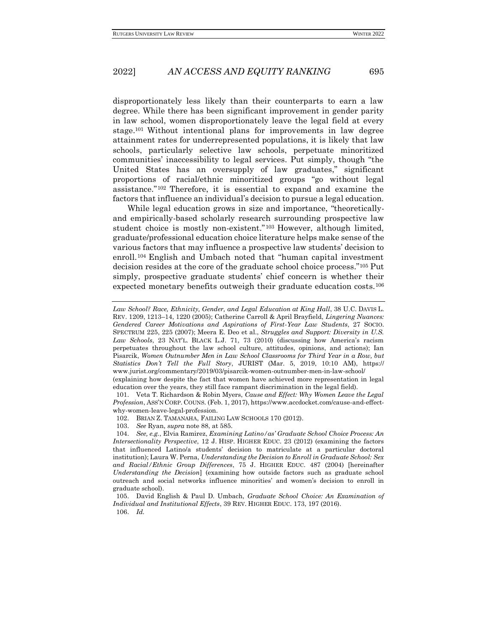disproportionately less likely than their counterparts to earn a law degree. While there has been significant improvement in gender parity in law school, women disproportionately leave the legal field at every stage. <sup>101</sup> Without intentional plans for improvements in law degree attainment rates for underrepresented populations, it is likely that law schools, particularly selective law schools, perpetuate minoritized communities' inaccessibility to legal services. Put simply, though "the United States has an oversupply of law graduates," significant proportions of racial/ethnic minoritized groups "go without legal assistance." <sup>102</sup> Therefore, it is essential to expand and examine the factors that influence an individual's decision to pursue a legal education.

While legal education grows in size and importance, "theoreticallyand empirically-based scholarly research surrounding prospective law student choice is mostly non-existent." <sup>103</sup> However, although limited, graduate/professional education choice literature helps make sense of the various factors that may influence a prospective law students' decision to enroll.<sup>104</sup> English and Umbach noted that "human capital investment decision resides at the core of the graduate school choice process."<sup>105</sup> Put simply, prospective graduate students' chief concern is whether their expected monetary benefits outweigh their graduate education costs.<sup>106</sup>

Law School? Race, Ethnicity, Gender, and Legal Education at King Hall, 38 U.C. DAVIS L. REV. 1209, 1213–14, 1220 (2005); Catherine Carroll & April Brayfield, *Lingering Nuances: Gendered Career Motivations and Aspirations of First-Year Law Students*, 27 SOCIO. SPECTRUM 225, 225 (2007); Meera E. Deo et al., *Struggles and Support: Diversity in U.S. Law Schools*, 23 NAT'L. BLACK L.J. 71, 73 (2010) (discussing how America's racism perpetuates throughout the law school culture, attitudes, opinions, and actions); Ian Pisarcik, *Women Outnumber Men in Law School Classrooms for Third Year in a Row, but Statistics Don't Tell the Full Story*, JURIST (Mar. 5, 2019, 10:10 AM), https:// www.jurist.org/commentary/2019/03/pisarcik-women-outnumber-men-in-law-school/ (explaining how despite the fact that women have achieved more representation in legal

education over the years, they still face rampant discrimination in the legal field). 101. Veta T. Richardson & Robin Myers, *Cause and Effect: Why Women Leave the Legal* 

*Profession*, ASS'N CORP. COUNS. (Feb. 1, 2017), https://www.accdocket.com/cause-and-effectwhy-women-leave-legal-profession.

<sup>102.</sup> BRIAN Z. TAMANAHA, FAILING LAW SCHOOLS 170 (2012).

<sup>103.</sup> *See* Ryan, *supra* note 88, at 585.

<sup>104.</sup> *See, e.g.*, Elvia Ramirez, *Examining Latino/as' Graduate School Choice Process: An Intersectionality Perspective*, 12 J. HISP. HIGHER EDUC. 23 (2012) (examining the factors that influenced Latino/a students' decision to matriculate at a particular doctoral institution); Laura W. Perna, *Understanding the Decision to Enroll in Graduate School: Sex and Racial/Ethnic Group Differences*, 75 J. HIGHER EDUC. 487 (2004) [hereinafter *Understanding the Decision*] (examining how outside factors such as graduate school outreach and social networks influence minorities' and women's decision to enroll in graduate school).

<sup>105.</sup> David English & Paul D. Umbach, *Graduate School Choice: An Examination of Individual and Institutional Effects*, 39 REV. HIGHER EDUC. 173, 197 (2016). 106. *Id.*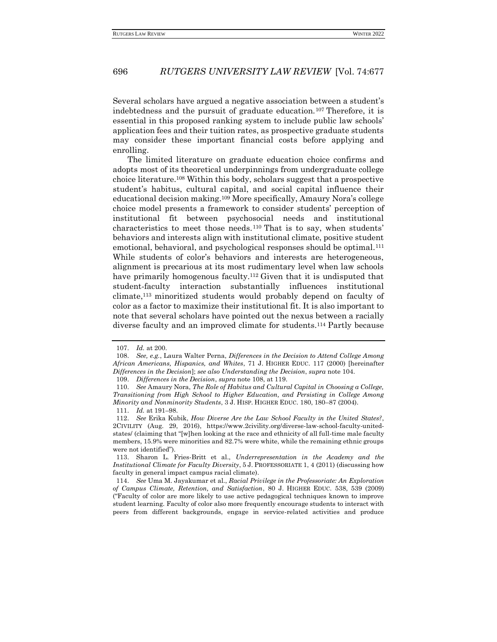Several scholars have argued a negative association between a student's indebtedness and the pursuit of graduate education.<sup>107</sup> Therefore, it is essential in this proposed ranking system to include public law schools' application fees and their tuition rates, as prospective graduate students may consider these important financial costs before applying and enrolling.

The limited literature on graduate education choice confirms and adopts most of its theoretical underpinnings from undergraduate college choice literature.<sup>108</sup> Within this body, scholars suggest that a prospective student's habitus, cultural capital, and social capital influence their educational decision making.<sup>109</sup> More specifically, Amaury Nora's college choice model presents a framework to consider students' perception of institutional fit between psychosocial needs and institutional characteristics to meet those needs.<sup>110</sup> That is to say, when students' behaviors and interests align with institutional climate, positive student emotional, behavioral, and psychological responses should be optimal.<sup>111</sup> While students of color's behaviors and interests are heterogeneous, alignment is precarious at its most rudimentary level when law schools have primarily homogenous faculty.<sup>112</sup> Given that it is undisputed that student-faculty interaction substantially influences institutional climate, <sup>113</sup> minoritized students would probably depend on faculty of color as a factor to maximize their institutional fit. It is also important to note that several scholars have pointed out the nexus between a racially diverse faculty and an improved climate for students.<sup>114</sup> Partly because

<sup>107.</sup> *Id.* at 200.

<sup>108.</sup> *See, e.g.*, Laura Walter Perna, *Differences in the Decision to Attend College Among African Americans, Hispanics, and Whites*, 71 J. HIGHER EDUC. 117 (2000) [hereinafter *Differences in the Decision*]; *see also Understanding the Decision*, *supra* note 104.

<sup>109.</sup> *Differences in the Decision*, *supra* note 108, at 119.

<sup>110.</sup> *See* Amaury Nora, *The Role of Habitus and Cultural Capital in Choosing a College, Transitioning from High School to Higher Education, and Persisting in College Among Minority and Nonminority Students*, 3 J. HISP. HIGHER EDUC. 180, 180–87 (2004).

<sup>111.</sup> *Id.* at 191–98.

<sup>112.</sup> *See* Erika Kubik, *How Diverse Are the Law School Faculty in the United States?*, 2CIVILITY (Aug. 29, 2016), https://www.2civility.org/diverse-law-school-faculty-unitedstates/ (claiming that "[w]hen looking at the race and ethnicity of all full-time male faculty members, 15.9% were minorities and 82.7% were white, while the remaining ethnic groups were not identified").

<sup>113.</sup> Sharon L. Fries-Britt et al., *Underrepresentation in the Academy and the Institutional Climate for Faculty Diversity*, 5 J. PROFESSORIATE 1, 4 (2011) (discussing how faculty in general impact campus racial climate).

<sup>114.</sup> *See* Uma M. Jayakumar et al., *Racial Privilege in the Professoriate: An Exploration of Campus Climate, Retention, and Satisfaction*, 80 J. HIGHER EDUC. 538, 539 (2009) ("Faculty of color are more likely to use active pedagogical techniques known to improve student learning. Faculty of color also more frequently encourage students to interact with peers from different backgrounds, engage in service-related activities and produce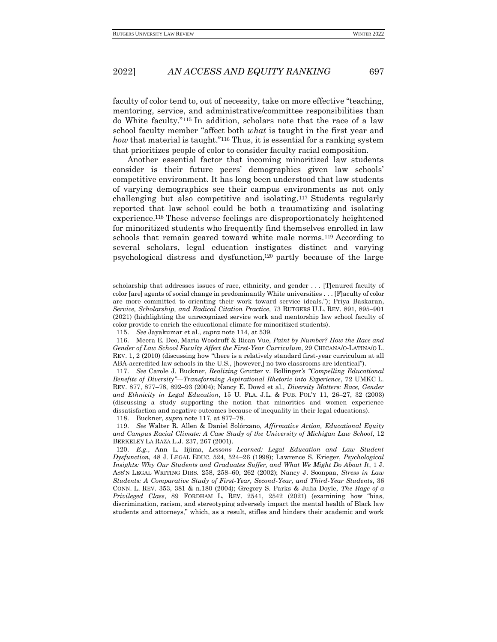faculty of color tend to, out of necessity, take on more effective "teaching, mentoring, service, and administrative/committee responsibilities than do White faculty."<sup>115</sup> In addition, scholars note that the race of a law school faculty member "affect both *what* is taught in the first year and *how* that material is taught."<sup>116</sup> Thus, it is essential for a ranking system that prioritizes people of color to consider faculty racial composition.

Another essential factor that incoming minoritized law students consider is their future peers' demographics given law schools' competitive environment. It has long been understood that law students of varying demographics see their campus environments as not only challenging but also competitive and isolating. <sup>117</sup> Students regularly reported that law school could be both a traumatizing and isolating experience.<sup>118</sup> These adverse feelings are disproportionately heightened for minoritized students who frequently find themselves enrolled in law schools that remain geared toward white male norms.<sup>119</sup> According to several scholars, legal education instigates distinct and varying psychological distress and dysfunction, <sup>120</sup> partly because of the large

118. Buckner, *supra* note 117, at 877–78.

scholarship that addresses issues of race, ethnicity, and gender . . . [T]enured faculty of color [are] agents of social change in predominantly White universities . . . [F]aculty of color are more committed to orienting their work toward service ideals."); Priya Baskaran, *Service, Scholarship, and Radical Citation Practice*, 73 RUTGERS U.L. REV. 891, 895–901 (2021) (highlighting the unrecognized service work and mentorship law school faculty of color provide to enrich the educational climate for minoritized students).

<sup>115.</sup> *See* Jayakumar et al., *supra* note 114, at 539.

<sup>116.</sup> Meera E. Deo, Maria Woodruff & Rican Vue, *Paint by Number? How the Race and Gender of Law School Faculty Affect the First-Year Curriculum*, 29 CHICANA/O-LATINA/O L. REV. 1, 2 (2010) (discussing how "there is a relatively standard first-year curriculum at all ABA-accredited law schools in the U.S., [however,] no two classrooms are identical").

<sup>117.</sup> *See* Carole J. Buckner, *Realizing* Grutter v. Bollinger*'s "Compelling Educational Benefits of Diversity"—Transforming Aspirational Rhetoric into Experience*, 72 UMKC L. REV. 877, 877–78, 892–93 (2004); Nancy E. Dowd et al., *Diversity Matters: Race, Gender and Ethnicity in Legal Education*, 15 U. FLA. J.L. & PUB. POL'Y 11, 26–27, 32 (2003) (discussing a study supporting the notion that minorities and women experience dissatisfaction and negative outcomes because of inequality in their legal educations).

<sup>119.</sup> *See* Walter R. Allen & Daniel Solórzano, *Affirmative Action, Educational Equity and Campus Racial Climate: A Case Study of the University of Michigan Law School*, 12 BERKELEY LA RAZA L.J. 237, 267 (2001).

<sup>120.</sup> *E.g.*, Ann L. Iijima, *Lessons Learned: Legal Education and Law Student Dysfunction*, 48 J. LEGAL EDUC. 524, 524–26 (1998); Lawrence S. Krieger, *Psychological Insights: Why Our Students and Graduates Suffer, and What We Might Do About It*, 1 J. ASS'N LEGAL WRITING DIRS. 258, 258–60, 262 (2002); Nancy J. Soonpaa, *Stress in Law Students: A Comparative Study of First-Year, Second-Year, and Third-Year Students*, 36 CONN. L. REV. 353, 381 & n.180 (2004); Gregory S. Parks & Julia Doyle, *The Rage of a Privileged Class*, 89 FORDHAM L. REV. 2541, 2542 (2021) (examining how "bias, discrimination, racism, and stereotyping adversely impact the mental health of Black law students and attorneys," which, as a result, stifles and hinders their academic and work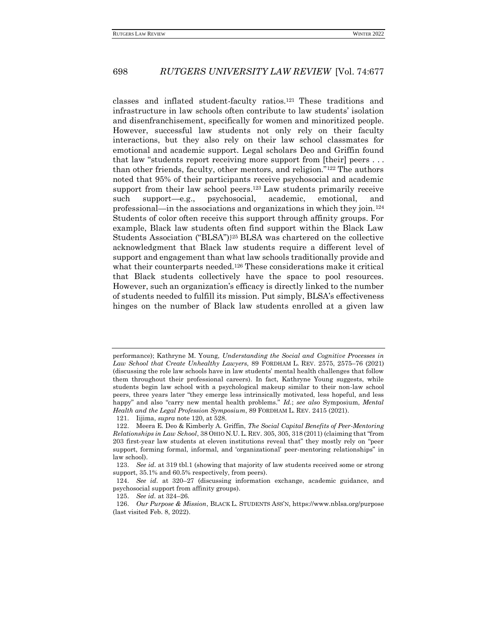classes and inflated student-faculty ratios. <sup>121</sup> These traditions and infrastructure in law schools often contribute to law students' isolation and disenfranchisement, specifically for women and minoritized people. However, successful law students not only rely on their faculty interactions, but they also rely on their law school classmates for emotional and academic support. Legal scholars Deo and Griffin found that law "students report receiving more support from [their] peers . . . than other friends, faculty, other mentors, and religion."<sup>122</sup> The authors noted that 95% of their participants receive psychosocial and academic support from their law school peers.<sup>123</sup> Law students primarily receive such support—e.g., psychosocial, academic, emotional, and professional—in the associations and organizations in which they join.<sup>124</sup> Students of color often receive this support through affinity groups. For example, Black law students often find support within the Black Law Students Association ("BLSA"). <sup>125</sup> BLSA was chartered on the collective acknowledgment that Black law students require a different level of support and engagement than what law schools traditionally provide and what their counterparts needed.<sup>126</sup> These considerations make it critical that Black students collectively have the space to pool resources. However, such an organization's efficacy is directly linked to the number of students needed to fulfill its mission. Put simply, BLSA's effectiveness hinges on the number of Black law students enrolled at a given law

performance); Kathryne M. Young, *Understanding the Social and Cognitive Processes in Law School that Create Unhealthy Lawyers*, 89 FORDHAM L. REV. 2575, 2575–76 (2021) (discussing the role law schools have in law students' mental health challenges that follow them throughout their professional careers). In fact, Kathryne Young suggests, while students begin law school with a psychological makeup similar to their non-law school peers, three years later "they emerge less intrinsically motivated, less hopeful, and less happy" and also "carry new mental health problems." *Id.*; *see also* Symposium, *Mental Health and the Legal Profession Symposium*, 89 FORDHAM L. REV. 2415 (2021).

<sup>121.</sup> Iijima, *supra* note 120, at 528.

<sup>122.</sup> Meera E. Deo & Kimberly A. Griffin, *The Social Capital Benefits of Peer-Mentoring Relationships in Law School*, 38 OHIO N.U.L. REV. 305, 305, 318 (2011) (claiming that "from 203 first-year law students at eleven institutions reveal that" they mostly rely on "peer support, forming formal, informal, and 'organizational' peer-mentoring relationships" in law school).

<sup>123.</sup> *See id.* at 319 tbl.1 (showing that majority of law students received some or strong support, 35.1% and 60.5% respectively, from peers).

<sup>124.</sup> *See id.* at 320–27 (discussing information exchange, academic guidance, and psychosocial support from affinity groups).

<sup>125.</sup> *See id.* at 324–26.

<sup>126.</sup> *Our Purpose & Mission*, BLACK L. STUDENTS ASS'N, https://www.nblsa.org/purpose (last visited Feb. 8, 2022).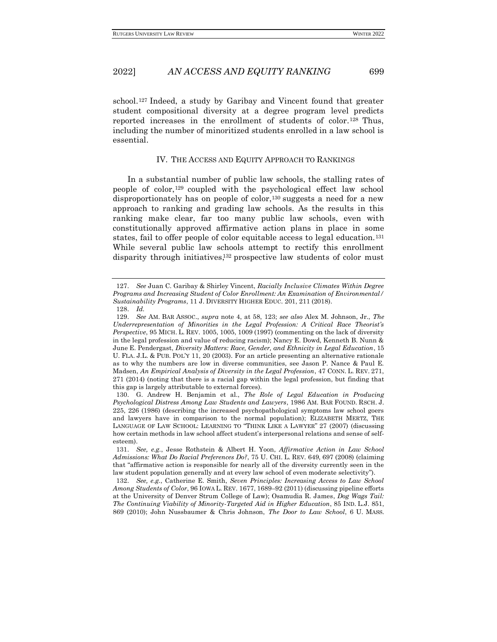school.<sup>127</sup> Indeed, a study by Garibay and Vincent found that greater student compositional diversity at a degree program level predicts reported increases in the enrollment of students of color. <sup>128</sup> Thus, including the number of minoritized students enrolled in a law school is essential.

#### IV. THE ACCESS AND EQUITY APPROACH TO RANKINGS

<span id="page-22-0"></span>In a substantial number of public law schools, the stalling rates of people of color, <sup>129</sup> coupled with the psychological effect law school disproportionately has on people of color,<sup>130</sup> suggests a need for a new approach to ranking and grading law schools. As the results in this ranking make clear, far too many public law schools, even with constitutionally approved affirmative action plans in place in some states, fail to offer people of color equitable access to legal education.<sup>131</sup> While several public law schools attempt to rectify this enrollment disparity through initiatives, <sup>132</sup> prospective law students of color must

<sup>127.</sup> *See* Juan C. Garibay & Shirley Vincent, *Racially Inclusive Climates Within Degree Programs and Increasing Student of Color Enrollment: An Examination of Environmental/ Sustainability Programs*, 11 J. DIVERSITY HIGHER EDUC. 201, 211 (2018).

<sup>128.</sup> *Id.*

<sup>129.</sup> *See* AM. BAR ASSOC., *supra* note 4, at 58, 123; *see also* Alex M. Johnson, Jr., *The Underrepresentation of Minorities in the Legal Profession: A Critical Race Theorist's Perspective*, 95 MICH. L. REV. 1005, 1005, 1009 (1997) (commenting on the lack of diversity in the legal profession and value of reducing racism); Nancy E. Dowd, Kenneth B. Nunn & June E. Pendergast, *Diversity Matters: Race, Gender, and Ethnicity in Legal Education*, 15 U. FLA. J.L. & PUB. POL'Y 11, 20 (2003). For an article presenting an alternative rationale as to why the numbers are low in diverse communities, see Jason P. Nance & Paul E. Madsen, *An Empirical Analysis of Diversity in the Legal Profession*, 47 CONN. L. REV. 271, 271 (2014) (noting that there is a racial gap within the legal profession, but finding that this gap is largely attributable to external forces).

<sup>130.</sup> G. Andrew H. Benjamin et al., *The Role of Legal Education in Producing Psychological Distress Among Law Students and Lawyers*, 1986 AM. BAR FOUND. RSCH. J. 225, 226 (1986) (describing the increased psychopathological symptoms law school goers and lawyers have in comparison to the normal population); ELIZABETH MERTZ, THE LANGUAGE OF LAW SCHOOL: LEARNING TO "THINK LIKE A LAWYER" 27 (2007) (discussing how certain methods in law school affect student's interpersonal relations and sense of selfesteem).

<sup>131.</sup> *See, e.g.*, Jesse Rothstein & Albert H. Yoon, *Affirmative Action in Law School Admissions: What Do Racial Preferences Do?*, 75 U. CHI. L. REV. 649, 697 (2008) (claiming that "affirmative action is responsible for nearly all of the diversity currently seen in the law student population generally and at every law school of even moderate selectivity").

<sup>132.</sup> *See, e.g.*, Catherine E. Smith, *Seven Principles: Increasing Access to Law School Among Students of Color*, 96 IOWA L. REV. 1677, 1689–92 (2011) (discussing pipeline efforts at the University of Denver Strum College of Law); Osamudia R. James, *Dog Wags Tail: The Continuing Viability of Minority-Targeted Aid in Higher Education*, 85 IND. L.J. 851, 869 (2010); John Nussbaumer & Chris Johnson, *The Door to Law School*, 6 U. MASS.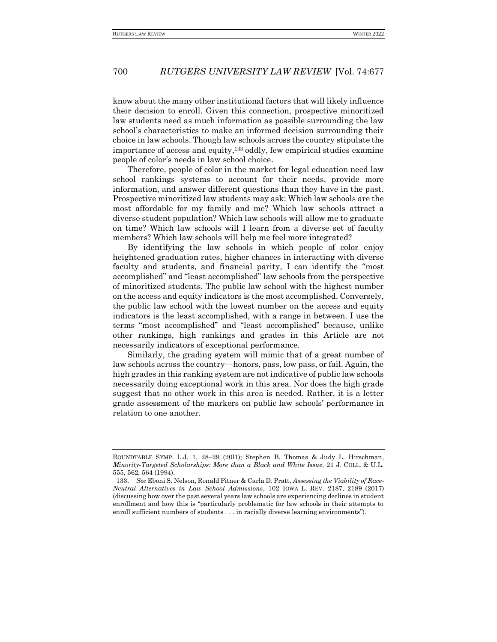know about the many other institutional factors that will likely influence their decision to enroll. Given this connection, prospective minoritized law students need as much information as possible surrounding the law school's characteristics to make an informed decision surrounding their choice in law schools. Though law schools across the country stipulate the importance of access and equity,<sup>133</sup> oddly, few empirical studies examine people of color's needs in law school choice.

Therefore, people of color in the market for legal education need law school rankings systems to account for their needs, provide more information, and answer different questions than they have in the past. Prospective minoritized law students may ask: Which law schools are the most affordable for my family and me? Which law schools attract a diverse student population? Which law schools will allow me to graduate on time? Which law schools will I learn from a diverse set of faculty members? Which law schools will help me feel more integrated?

By identifying the law schools in which people of color enjoy heightened graduation rates, higher chances in interacting with diverse faculty and students, and financial parity, I can identify the "most accomplished" and "least accomplished" law schools from the perspective of minoritized students. The public law school with the highest number on the access and equity indicators is the most accomplished. Conversely, the public law school with the lowest number on the access and equity indicators is the least accomplished, with a range in between. I use the terms "most accomplished" and "least accomplished" because, unlike other rankings, high rankings and grades in this Article are not necessarily indicators of exceptional performance.

Similarly, the grading system will mimic that of a great number of law schools across the country—honors, pass, low pass, or fail. Again, the high grades in this ranking system are not indicative of public law schools necessarily doing exceptional work in this area. Nor does the high grade suggest that no other work in this area is needed. Rather, it is a letter grade assessment of the markers on public law schools' performance in relation to one another.

ROUNDTABLE SYMP. L.J. 1, 28–29 (20l1); Stephen B. Thomas & Judy L. Hirschman, *Minority-Targeted Scholarships: More than a Black and White Issue*, 21 J. COLL. & U.L. 555, 562, 564 (1994).

<sup>133.</sup> *See* Eboni S. Nelson, Ronald Pitner & Carla D. Pratt, *Assessing the Viability of Race-Neutral Alternatives in Law School Admissions*, 102 IOWA L. REV. 2187, 2189 (2017) (discussing how over the past several years law schools are experiencing declines in student enrollment and how this is "particularly problematic for law schools in their attempts to enroll sufficient numbers of students . . . in racially diverse learning environments").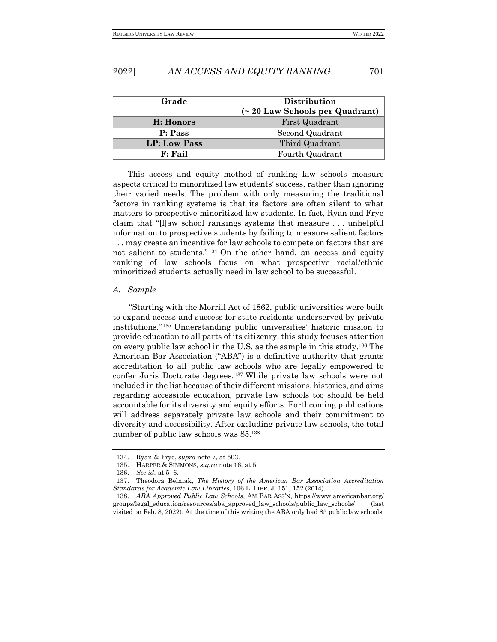| Grade        | Distribution<br>$($ $\sim$ 20 Law Schools per Quadrant) |
|--------------|---------------------------------------------------------|
| H: Honors    | First Quadrant                                          |
| P: Pass      | Second Quadrant                                         |
| LP: Low Pass | Third Quadrant                                          |
| $F:$ Fail    | Fourth Quadrant                                         |

This access and equity method of ranking law schools measure aspects critical to minoritized law students' success, rather than ignoring their varied needs. The problem with only measuring the traditional factors in ranking systems is that its factors are often silent to what matters to prospective minoritized law students. In fact, Ryan and Frye claim that "[l]aw school rankings systems that measure . . . unhelpful information to prospective students by failing to measure salient factors . . . may create an incentive for law schools to compete on factors that are not salient to students." <sup>134</sup> On the other hand, an access and equity ranking of law schools focus on what prospective racial/ethnic minoritized students actually need in law school to be successful.

#### <span id="page-24-0"></span>*A. Sample*

"Starting with the Morrill Act of 1862, public universities were built to expand access and success for state residents underserved by private institutions."<sup>135</sup> Understanding public universities' historic mission to provide education to all parts of its citizenry, this study focuses attention on every public law school in the U.S. as the sample in this study.<sup>136</sup> The American Bar Association ("ABA") is a definitive authority that grants accreditation to all public law schools who are legally empowered to confer Juris Doctorate degrees.<sup>137</sup> While private law schools were not included in the list because of their different missions, histories, and aims regarding accessible education, private law schools too should be held accountable for its diversity and equity efforts. Forthcoming publications will address separately private law schools and their commitment to diversity and accessibility. After excluding private law schools, the total number of public law schools was 85.<sup>138</sup>

<sup>134.</sup> Ryan & Frye, *supra* note 7, at 503.

<sup>135.</sup> HARPER & SIMMONS, *supra* note 16, at 5.

<sup>136.</sup> *See id.* at 5–6.

<sup>137.</sup> Theodora Belniak, *The History of the American Bar Association Accreditation Standards for Academic Law Libraries*, 106 L. LIBR. J. 151, 152 (2014).

<sup>138.</sup> *ABA Approved Public Law Schools*, AM BAR ASS'N, https://www.americanbar.org/ groups/legal\_education/resources/aba\_approved\_law\_schools/public\_law\_schools/ (last visited on Feb. 8, 2022). At the time of this writing the ABA only had 85 public law schools.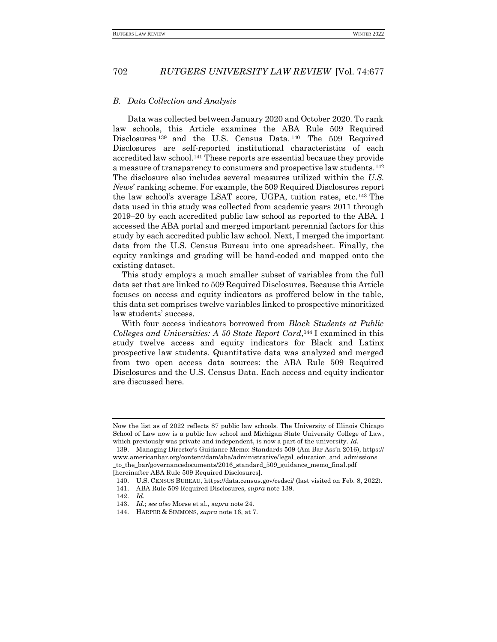#### <span id="page-25-0"></span>*B. Data Collection and Analysis*

Data was collected between January 2020 and October 2020. To rank law schools, this Article examines the ABA Rule 509 Required Disclosures<sup>139</sup> and the U.S. Census Data.<sup>140</sup> The 509 Required Disclosures are self-reported institutional characteristics of each accredited law school.<sup>141</sup> These reports are essential because they provide a measure of transparency to consumers and prospective law students.<sup>142</sup> The disclosure also includes several measures utilized within the *U.S. News*' ranking scheme. For example, the 509 Required Disclosures report the law school's average LSAT score, UGPA, tuition rates, etc.<sup>143</sup> The data used in this study was collected from academic years 2011 through 2019–20 by each accredited public law school as reported to the ABA. I accessed the ABA portal and merged important perennial factors for this study by each accredited public law school. Next, I merged the important data from the U.S. Census Bureau into one spreadsheet. Finally, the equity rankings and grading will be hand-coded and mapped onto the existing dataset.

This study employs a much smaller subset of variables from the full data set that are linked to 509 Required Disclosures. Because this Article focuses on access and equity indicators as proffered below in the table, this data set comprises twelve variables linked to prospective minoritized law students' success.

With four access indicators borrowed from *Black Students at Public*  Colleges and Universities: A 50 State Report Card,<sup>144</sup> I examined in this study twelve access and equity indicators for Black and Latinx prospective law students. Quantitative data was analyzed and merged from two open access data sources: the ABA Rule 509 Required Disclosures and the U.S. Census Data. Each access and equity indicator are discussed here.

Now the list as of 2022 reflects 87 public law schools. The University of Illinois Chicago School of Law now is a public law school and Michigan State University College of Law, which previously was private and independent, is now a part of the university. *Id.*

<sup>139.</sup> Managing Director's Guidance Memo: Standards 509 (Am Bar Ass'n 2016), https:// www.americanbar.org/content/dam/aba/administrative/legal\_education\_and\_admissions \_to\_the\_bar/governancedocuments/2016\_standard\_509\_guidance\_memo\_final.pdf [hereinafter ABA Rule 509 Required Disclosures].

<sup>140.</sup> U.S. CENSUS BUREAU, https://data.census.gov/cedsci/ (last visited on Feb. 8, 2022).

<sup>141.</sup> ABA Rule 509 Required Disclosures, *supra* note 139.

<sup>142.</sup> *Id.*

<sup>143.</sup> *Id.*; *see also* Morse et al., *supra* note 24.

<sup>144.</sup> HARPER & SIMMONS, *supra* note 16, at 7.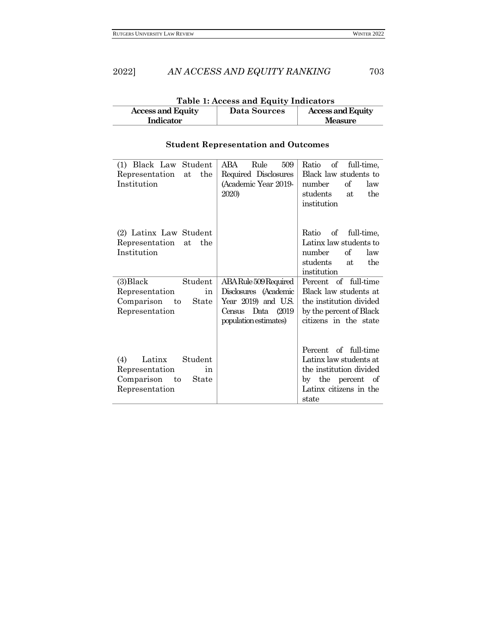| Table 1: Access and Equity Indicators                                       |  |                |  |
|-----------------------------------------------------------------------------|--|----------------|--|
| <b>Access and Equity</b><br><b>Access and Equity</b><br><b>Data Sources</b> |  |                |  |
| Indicator                                                                   |  | <b>Measure</b> |  |

# **Student Representation and Outcomes**

| (1) Black Law Student<br>Representation<br>the<br>at<br>Institution                          | 509<br>ABA<br>Rule<br>Required Disclosures<br>(Academic Year 2019-<br>2020)                                                | $\sigma f$<br>full-time,<br>Ratio<br>Black law students to<br>number<br>of<br>law<br>students<br>the<br>at<br>institution         |
|----------------------------------------------------------------------------------------------|----------------------------------------------------------------------------------------------------------------------------|-----------------------------------------------------------------------------------------------------------------------------------|
| (2) Latinx Law Student<br>Representation<br>the<br>at<br>Institution                         |                                                                                                                            | Ratio<br>of full-time,<br>Latinx law students to<br>number<br>of<br>law<br>students<br>the<br>at<br>institution                   |
| (3) Black<br>Student<br>Representation<br>in<br>Comparison to<br>State<br>Representation     | ABA Rule 509 Required<br>Disclosures (Academic<br>Year 2019) and U.S.<br>Data<br>(2019)<br>Census<br>population estimates) | Percent of full-time<br>Black law students at<br>the institution divided<br>by the percent of Black<br>citizens in the state      |
| (4)<br>Latinx<br>Student<br>Representation<br>in<br>Comparison to<br>State<br>Representation |                                                                                                                            | Percent of full-time<br>Latinx law students at<br>the institution divided<br>by the percent of<br>Latinx citizens in the<br>state |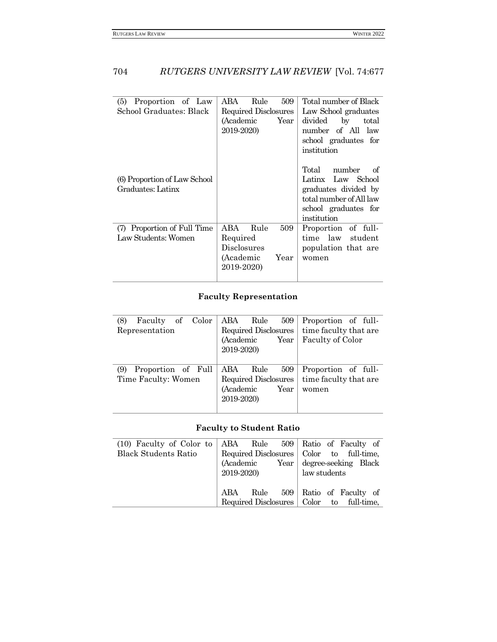| Proportion of Law<br>(5)<br>School Graduates: Black | ABA<br>Rule<br>509<br>Required Disclosures<br>Year<br>(Academic<br>2019-2020)           | Total number of Black<br>Law School graduates<br>divided<br>$\mathbf{b}$<br>total<br>number of All law<br>school graduates for<br>institution |
|-----------------------------------------------------|-----------------------------------------------------------------------------------------|-----------------------------------------------------------------------------------------------------------------------------------------------|
| (6) Proportion of Law School<br>Graduates: Latinx   |                                                                                         | number<br>Total<br>of.<br>Latinx Law School<br>graduates divided by<br>total number of All law<br>school graduates for<br>institution         |
| (7) Proportion of Full Time<br>Law Students: Women  | ABA<br>Rule<br>509<br>Required<br><b>Disclosures</b><br>(Academic<br>Year<br>2019-2020) | Proportion of full-<br>time law student<br>population that are<br>women                                                                       |

# **Faculty Representation**

| (8)<br>Faculty of<br>Color<br>Representation     | ABA<br>Rule<br>509<br>Required Disclosures<br>(Academic<br>Year<br>2019-2020)  | Proportion of full-<br>time faculty that are<br>Faculty of Color |
|--------------------------------------------------|--------------------------------------------------------------------------------|------------------------------------------------------------------|
| Proportion of Full<br>(9)<br>Time Faculty: Women | ABA.<br>Rule<br>509<br>Required Disclosures<br>(Academic<br>Year<br>2019-2020) | Proportion of full-<br>time faculty that are<br>women            |

# **Faculty to Student Ratio**

| $(10)$ Faculty of Color to ABA Rule 509 Ratio of Faculty of |            |      |                                            |
|-------------------------------------------------------------|------------|------|--------------------------------------------|
| <b>Black Students Ratio</b>                                 |            |      | Required Disclosures   Color to full-time, |
|                                                             |            |      | (Academic Year degree-seeking Black)       |
|                                                             | 2019-2020) |      | law students                               |
|                                                             |            |      |                                            |
|                                                             | ABA        | Rule | 509 Ratio of Faculty of                    |
|                                                             |            |      | Required Disclosures   Color to full-time, |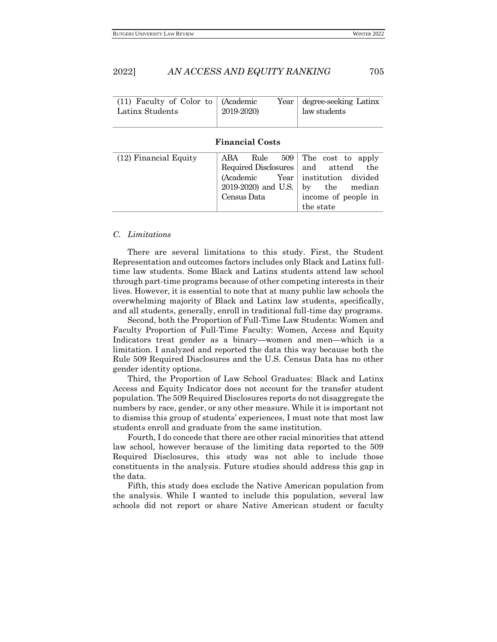| (11) Faculty of Color to<br>Latinx Students | (Academic<br>Year<br>2019-2020)                                                                       | degree-seeking Latinx<br>law students                                                                                    |  |  |
|---------------------------------------------|-------------------------------------------------------------------------------------------------------|--------------------------------------------------------------------------------------------------------------------------|--|--|
| <b>Financial Costs</b>                      |                                                                                                       |                                                                                                                          |  |  |
| $(12)$ Financial Equity                     | ABA<br>Rule<br>509<br>Required Disclosures<br>(Academic<br>Year<br>2019-2020) and U.S.<br>Census Data | The cost to apply<br>attend<br>and<br>the<br>institution divided<br>the median<br>by<br>income of people in<br>the state |  |  |

#### <span id="page-28-0"></span>*C. Limitations*

There are several limitations to this study. First, the Student Representation and outcomes factors includes only Black and Latinx fulltime law students. Some Black and Latinx students attend law school through part-time programs because of other competing interests in their lives. However, it is essential to note that at many public law schools the overwhelming majority of Black and Latinx law students, specifically, and all students, generally, enroll in traditional full-time day programs.

Second, both the Proportion of Full-Time Law Students: Women and Faculty Proportion of Full-Time Faculty: Women, Access and Equity Indicators treat gender as a binary—women and men—which is a limitation. I analyzed and reported the data this way because both the Rule 509 Required Disclosures and the U.S. Census Data has no other gender identity options.

Third, the Proportion of Law School Graduates: Black and Latinx Access and Equity Indicator does not account for the transfer student population. The 509 Required Disclosures reports do not disaggregate the numbers by race, gender, or any other measure. While it is important not to dismiss this group of students' experiences, I must note that most law students enroll and graduate from the same institution.

Fourth, I do concede that there are other racial minorities that attend law school, however because of the limiting data reported to the 509 Required Disclosures, this study was not able to include those constituents in the analysis. Future studies should address this gap in the data.

Fifth, this study does exclude the Native American population from the analysis. While I wanted to include this population, several law schools did not report or share Native American student or faculty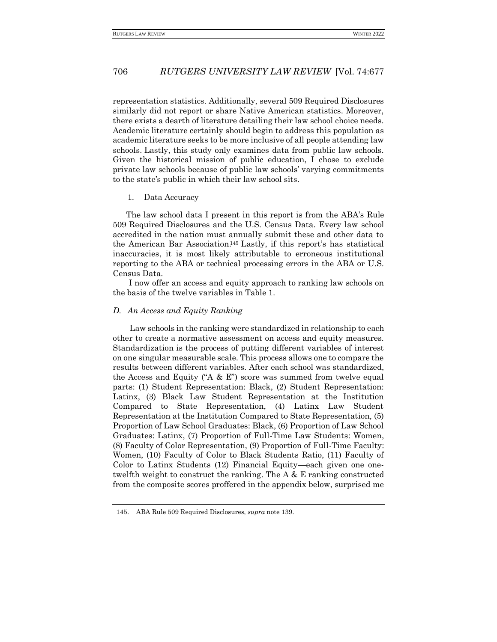representation statistics. Additionally, several 509 Required Disclosures similarly did not report or share Native American statistics. Moreover, there exists a dearth of literature detailing their law school choice needs. Academic literature certainly should begin to address this population as academic literature seeks to be more inclusive of all people attending law schools. Lastly, this study only examines data from public law schools. Given the historical mission of public education, I chose to exclude private law schools because of public law schools' varying commitments to the state's public in which their law school sits.

#### <span id="page-29-0"></span>1. Data Accuracy

 The law school data I present in this report is from the ABA's Rule 509 Required Disclosures and the U.S. Census Data. Every law school accredited in the nation must annually submit these and other data to the American Bar Association. <sup>145</sup> Lastly, if this report's has statistical inaccuracies, it is most likely attributable to erroneous institutional reporting to the ABA or technical processing errors in the ABA or U.S. Census Data.

I now offer an access and equity approach to ranking law schools on the basis of the twelve variables in Table 1.

#### <span id="page-29-1"></span>*D. An Access and Equity Ranking*

Law schools in the ranking were standardized in relationship to each other to create a normative assessment on access and equity measures. Standardization is the process of putting different variables of interest on one singular measurable scale. This process allows one to compare the results between different variables. After each school was standardized, the Access and Equity ("A  $\&$  E") score was summed from twelve equal parts: (1) Student Representation: Black, (2) Student Representation: Latinx, (3) Black Law Student Representation at the Institution Compared to State Representation, (4) Latinx Law Student Representation at the Institution Compared to State Representation, (5) Proportion of Law School Graduates: Black, (6) Proportion of Law School Graduates: Latinx, (7) Proportion of Full-Time Law Students: Women, (8) Faculty of Color Representation, (9) Proportion of Full-Time Faculty: Women, (10) Faculty of Color to Black Students Ratio, (11) Faculty of Color to Latinx Students (12) Financial Equity—each given one onetwelfth weight to construct the ranking. The A & E ranking constructed from the composite scores proffered in the appendix below, surprised me

<sup>145.</sup> ABA Rule 509 Required Disclosures, *supra* note 139.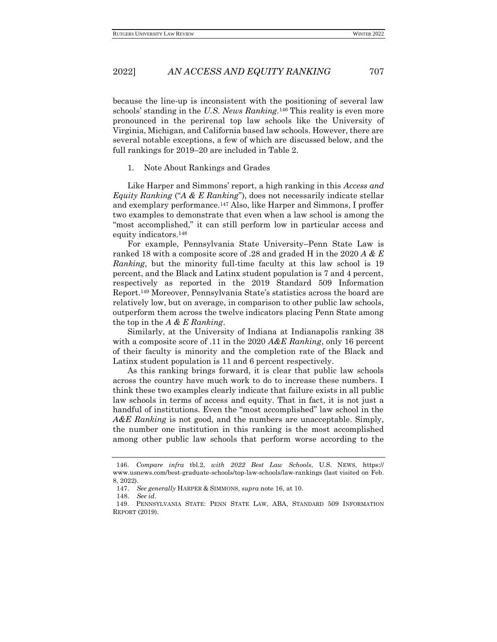because the line-up is inconsistent with the positioning of several law schools' standing in the *U.S. News Ranking.*<sup>146</sup> This reality is even more pronounced in the perirenal top law schools like the University of Virginia, Michigan, and California based law schools. However, there are several notable exceptions, a few of which are discussed below, and the full rankings for 2019–20 are included in Table 2.

#### <span id="page-30-0"></span>1. Note About Rankings and Grades

Like Harper and Simmons' report, a high ranking in this *Access and Equity Ranking* ("*A & E Ranking*"), does not necessarily indicate stellar and exemplary performance.<sup>147</sup> Also, like Harper and Simmons, I proffer two examples to demonstrate that even when a law school is among the "most accomplished," it can still perform low in particular access and equity indicators.<sup>148</sup>

For example, Pennsylvania State University–Penn State Law is ranked 18 with a composite score of .28 and graded H in the 2020 *A & E Ranking*, but the minority full-time faculty at this law school is 19 percent, and the Black and Latinx student population is 7 and 4 percent, respectively as reported in the 2019 Standard 509 Information Report.<sup>149</sup> Moreover, Pennsylvania State's statistics across the board are relatively low, but on average, in comparison to other public law schools, outperform them across the twelve indicators placing Penn State among the top in the *A & E Ranking*.

Similarly, at the University of Indiana at Indianapolis ranking 38 with a composite score of .11 in the 2020 *A&E Ranking*, only 16 percent of their faculty is minority and the completion rate of the Black and Latinx student population is 11 and 6 percent respectively.

As this ranking brings forward, it is clear that public law schools across the country have much work to do to increase these numbers. I think these two examples clearly indicate that failure exists in all public law schools in terms of access and equity. That in fact, it is not just a handful of institutions. Even the "most accomplished" law school in the *A&E Ranking* is not good, and the numbers are unacceptable. Simply, the number one institution in this ranking is the most accomplished among other public law schools that perform worse according to the

<sup>146.</sup> *Compare infra* tbl.2, *with 2022 Best Law Schools*, U.S. NEWS, https:// www.usnews.com/best-graduate-schools/top-law-schools/law-rankings (last visited on Feb. 8, 2022).

<sup>147.</sup> *See generally* HARPER & SIMMONS, *supra* note 16, at 10.

<sup>148.</sup> *See id.* 

<sup>149.</sup> PENNSYLVANIA STATE: PENN STATE LAW, ABA, STANDARD 509 INFORMATION REPORT (2019).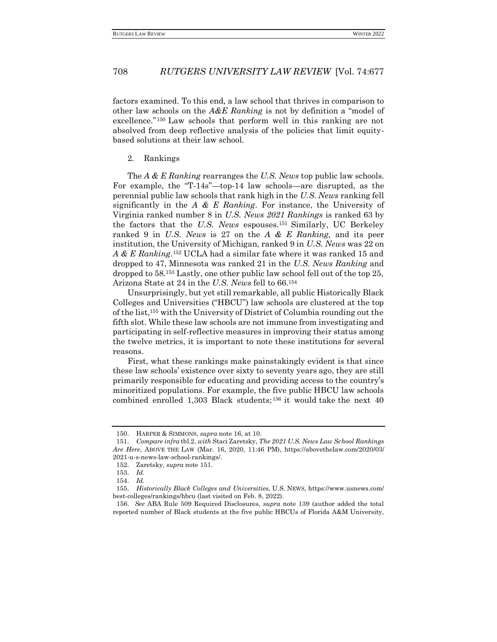factors examined. To this end, a law school that thrives in comparison to other law schools on the *A&E Ranking* is not by definition a "model of excellence." <sup>150</sup> Law schools that perform well in this ranking are not absolved from deep reflective analysis of the policies that limit equitybased solutions at their law school.

#### <span id="page-31-0"></span>2. Rankings

The *A & E Ranking* rearranges the *U.S. News* top public law schools. For example, the "T-14s"—top-14 law schools—are disrupted, as the perennial public law schools that rank high in the *U.S. News* ranking fell significantly in the *A & E Ranking*. For instance, the University of Virginia ranked number 8 in *U.S. News 2021 Rankings* is ranked 63 by the factors that the *U.S. News* espouses*.* <sup>151</sup> Similarly, UC Berkeley ranked 9 in *U.S. News* is 27 on the *A & E Ranking,* and its peer institution, the University of Michigan, ranked 9 in *U.S. News* was 22 on *A & E Ranking*. <sup>152</sup> UCLA had a similar fate where it was ranked 15 and dropped to 47, Minnesota was ranked 21 in the *U.S. News Ranking* and dropped to 58.<sup>153</sup> Lastly, one other public law school fell out of the top 25, Arizona State at 24 in the *U.S. News* fell to 66.<sup>154</sup>

Unsurprisingly, but yet still remarkable, all public Historically Black Colleges and Universities ("HBCU") law schools are clustered at the top of the list,<sup>155</sup> with the University of District of Columbia rounding out the fifth slot. While these law schools are not immune from investigating and participating in self-reflective measures in improving their status among the twelve metrics, it is important to note these institutions for several reasons.

First, what these rankings make painstakingly evident is that since these law schools' existence over sixty to seventy years ago, they are still primarily responsible for educating and providing access to the country's minoritized populations. For example, the five public HBCU law schools combined enrolled 1,303 Black students;<sup>156</sup> it would take the next 40

<sup>150.</sup> HARPER & SIMMONS, *supra* note 16, at 10.

<sup>151.</sup> *Compare infra* tbl.2, *with* Staci Zaretsky, *The 2021 U.S. News Law School Rankings Are Here*, ABOVE THE LAW (Mar. 16, 2020, 11:46 PM), https://abovethelaw.com/2020/03/ 2021-u-s-news-law-school-rankings/.

<sup>152.</sup> Zaretsky, *supra* note 151.

<sup>153.</sup> *Id.*

<sup>154.</sup> *Id.*

<sup>155.</sup> *Historically Black Colleges and Universities*, U.S. NEWS, https://www.usnews.com/ best-colleges/rankings/hbcu (last visited on Feb. 8, 2022).

<sup>156.</sup> *See* ABA Rule 509 Required Disclosures, *supra* note 139 (author added the total reported number of Black students at the five public HBCUs of Florida A&M University,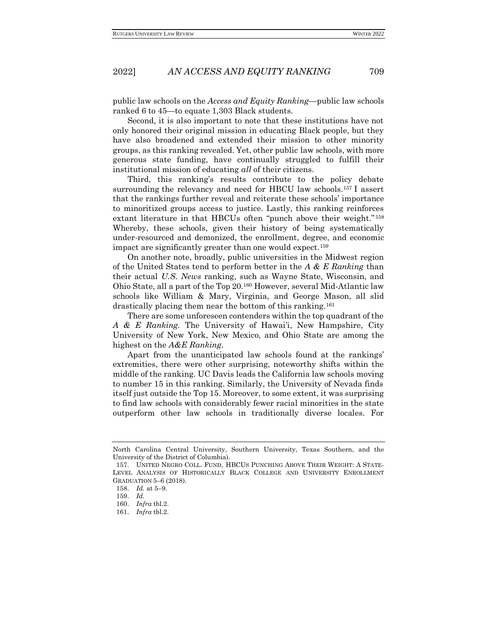public law schools on the *Access and Equity Ranking*—public law schools ranked 6 to 45—to equate 1,303 Black students.

Second, it is also important to note that these institutions have not only honored their original mission in educating Black people, but they have also broadened and extended their mission to other minority groups, as this ranking revealed. Yet, other public law schools, with more generous state funding, have continually struggled to fulfill their institutional mission of educating *all* of their citizens.

Third, this ranking's results contribute to the policy debate surrounding the relevancy and need for HBCU law schools.<sup>157</sup> I assert that the rankings further reveal and reiterate these schools' importance to minoritized groups access to justice. Lastly, this ranking reinforces extant literature in that HBCUs often "punch above their weight."<sup>158</sup> Whereby, these schools, given their history of being systematically under-resourced and demonized, the enrollment, degree, and economic impact are significantly greater than one would expect.<sup>159</sup>

On another note, broadly, public universities in the Midwest region of the United States tend to perform better in the *A & E Ranking* than their actual *U.S. News* ranking, such as Wayne State, Wisconsin, and Ohio State, all a part of the Top 20.<sup>160</sup> However, several Mid-Atlantic law schools like William & Mary, Virginia, and George Mason, all slid drastically placing them near the bottom of this ranking.<sup>161</sup>

There are some unforeseen contenders within the top quadrant of the *A & E Ranking.* The University of Hawai'i, New Hampshire, City University of New York, New Mexico, and Ohio State are among the highest on the *A&E Ranking*.

Apart from the unanticipated law schools found at the rankings' extremities, there were other surprising, noteworthy shifts within the middle of the ranking. UC Davis leads the California law schools moving to number 15 in this ranking. Similarly, the University of Nevada finds itself just outside the Top 15. Moreover, to some extent, it was surprising to find law schools with considerably fewer racial minorities in the state outperform other law schools in traditionally diverse locales. For

North Carolina Central University, Southern University, Texas Southern, and the University of the District of Columbia).

<sup>157.</sup> UNITED NEGRO COLL. FUND, HBCUS PUNCHING ABOVE THEIR WEIGHT: A STATE-LEVEL ANALYSIS OF HISTORICALLY BLACK COLLEGE AND UNIVERSITY ENROLLMENT GRADUATION 5–6 (2018).

<sup>158.</sup> *Id.* at 5–9.

<sup>159.</sup> *Id.*

<sup>160.</sup> *Infra* tbl.2.

<sup>161.</sup> *Infra* tbl.2.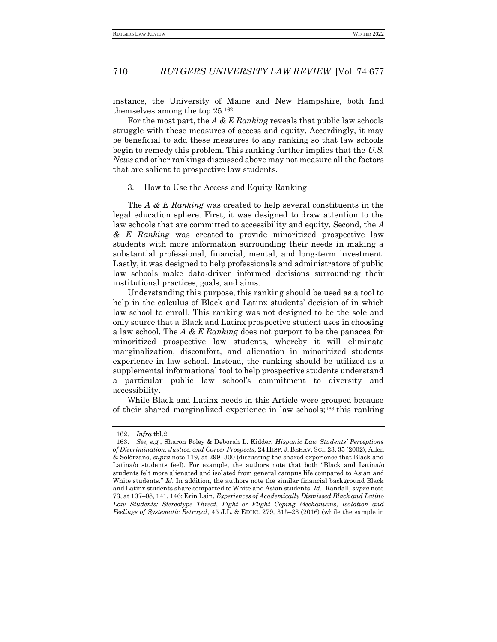instance, the University of Maine and New Hampshire, both find themselves among the top 25.<sup>162</sup>

For the most part, the *A & E Ranking* reveals that public law schools struggle with these measures of access and equity. Accordingly, it may be beneficial to add these measures to any ranking so that law schools begin to remedy this problem. This ranking further implies that the *U.S. News* and other rankings discussed above may not measure all the factors that are salient to prospective law students.

#### <span id="page-33-0"></span>3. How to Use the Access and Equity Ranking

The *A & E Ranking* was created to help several constituents in the legal education sphere. First, it was designed to draw attention to the law schools that are committed to accessibility and equity. Second, the *A & E Ranking* was created to provide minoritized prospective law students with more information surrounding their needs in making a substantial professional, financial, mental, and long-term investment. Lastly, it was designed to help professionals and administrators of public law schools make data-driven informed decisions surrounding their institutional practices, goals, and aims.

Understanding this purpose, this ranking should be used as a tool to help in the calculus of Black and Latinx students' decision of in which law school to enroll. This ranking was not designed to be the sole and only source that a Black and Latinx prospective student uses in choosing a law school. The *A & E Ranking* does not purport to be the panacea for minoritized prospective law students, whereby it will eliminate marginalization, discomfort, and alienation in minoritized students experience in law school. Instead, the ranking should be utilized as a supplemental informational tool to help prospective students understand a particular public law school's commitment to diversity and accessibility.

While Black and Latinx needs in this Article were grouped because of their shared marginalized experience in law schools;<sup>163</sup> this ranking

<sup>162.</sup> *Infra* tbl.2.

<sup>163.</sup> *See, e.g.*, Sharon Foley & Deborah L. Kidder, *Hispanic Law Students' Perceptions of Discrimination, Justice, and Career Prospects*, 24 HISP. J. BEHAV. SCI. 23, 35 (2002); Allen & Solórzano, *supra* note 119, at 299–300 (discussing the shared experience that Black and Latina/o students feel). For example, the authors note that both "Black and Latina/o students felt more alienated and isolated from general campus life compared to Asian and White students." *Id.* In addition, the authors note the similar financial background Black and Latinx students share comparted to White and Asian students. *Id.*; Randall, *supra* note 73, at 107–08, 141, 146; Erin Lain, *Experiences of Academically Dismissed Black and Latino*  Law Students: Stereotype Threat, Fight or Flight Coping Mechanisms, Isolation and *Feelings of Systematic Betrayal*, 45 J.L. & EDUC. 279, 315–23 (2016) (while the sample in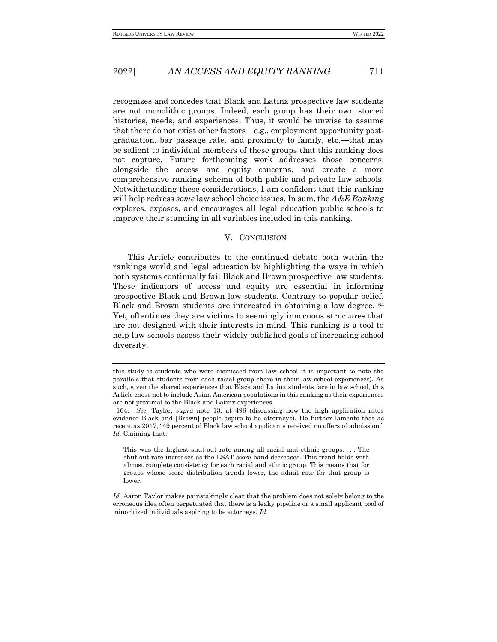recognizes and concedes that Black and Latinx prospective law students are not monolithic groups. Indeed, each group has their own storied histories, needs, and experiences. Thus, it would be unwise to assume that there do not exist other factors—e.g., employment opportunity postgraduation, bar passage rate, and proximity to family, etc.—that may be salient to individual members of these groups that this ranking does not capture. Future forthcoming work addresses those concerns, alongside the access and equity concerns, and create a more comprehensive ranking schema of both public and private law schools. Notwithstanding these considerations, I am confident that this ranking will help redress *some* law school choice issues. In sum, the *A&E Ranking* explores, exposes, and encourages all legal education public schools to improve their standing in all variables included in this ranking.

#### V. CONCLUSION

<span id="page-34-0"></span>This Article contributes to the continued debate both within the rankings world and legal education by highlighting the ways in which both systems continually fail Black and Brown prospective law students. These indicators of access and equity are essential in informing prospective Black and Brown law students. Contrary to popular belief, Black and Brown students are interested in obtaining a law degree.<sup>164</sup> Yet, oftentimes they are victims to seemingly innocuous structures that are not designed with their interests in mind. This ranking is a tool to help law schools assess their widely published goals of increasing school diversity.

this study is students who were dismissed from law school it is important to note the parallels that students from each racial group share in their law school experiences). As such, given the shared experiences that Black and Latinx students face in law school, this Article chose not to include Asian American populations in this ranking as their experiences are not proximal to the Black and Latinx experiences.

<sup>164.</sup> *See,* Taylor, *supra* note 13, at 496 (discussing how the high application rates evidence Black and [Brown] people aspire to be attorneys). He further laments that as recent as 2017, "49 percent of Black law school applicants received no offers of admission." *Id.* Claiming that:

This was the highest shut-out rate among all racial and ethnic groups. . . . The shut-out rate increases as the LSAT score band decreases. This trend holds with almost complete consistency for each racial and ethnic group. This means that for groups whose score distribution trends lower, the admit rate for that group is lower.

*Id.* Aaron Taylor makes painstakingly clear that the problem does not solely belong to the erroneous idea often perpetuated that there is a leaky pipeline or a small applicant pool of minoritized individuals aspiring to be attorneys. *Id.*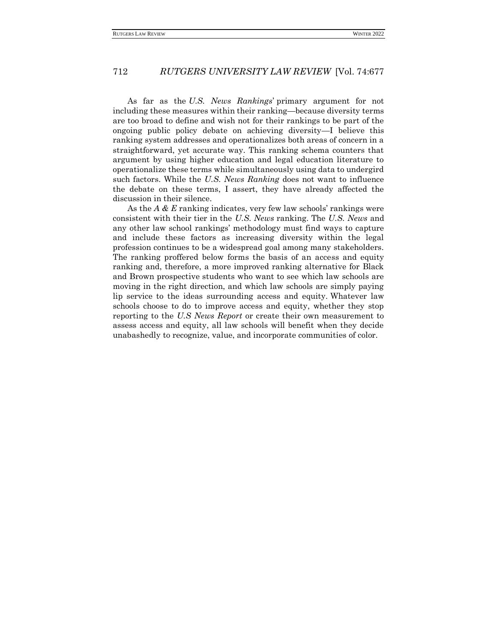As far as the *U.S. News Rankings*' primary argument for not including these measures within their ranking—because diversity terms are too broad to define and wish not for their rankings to be part of the ongoing public policy debate on achieving diversity—I believe this ranking system addresses and operationalizes both areas of concern in a straightforward, yet accurate way. This ranking schema counters that argument by using higher education and legal education literature to operationalize these terms while simultaneously using data to undergird such factors. While the *U.S. News Ranking* does not want to influence the debate on these terms, I assert, they have already affected the discussion in their silence.

As the *A & E* ranking indicates, very few law schools' rankings were consistent with their tier in the *U.S. News* ranking. The *U.S. News* and any other law school rankings' methodology must find ways to capture and include these factors as increasing diversity within the legal profession continues to be a widespread goal among many stakeholders. The ranking proffered below forms the basis of an access and equity ranking and, therefore, a more improved ranking alternative for Black and Brown prospective students who want to see which law schools are moving in the right direction, and which law schools are simply paying lip service to the ideas surrounding access and equity. Whatever law schools choose to do to improve access and equity, whether they stop reporting to the *U.S News Report* or create their own measurement to assess access and equity, all law schools will benefit when they decide unabashedly to recognize, value, and incorporate communities of color.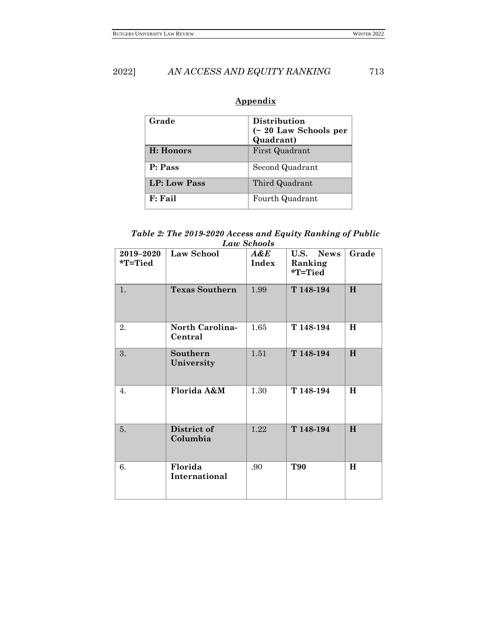| Grade               | Distribution<br>$($ 20 Law Schools per |
|---------------------|----------------------------------------|
|                     | Quadrant)                              |
| H: Honors           | First Quadrant                         |
| P: Pass             | Second Quadrant                        |
| <b>LP: Low Pass</b> | Third Quadrant                         |
| F: Fail             | Fourth Quadrant                        |

# **Appendix**

*Table 2: The 2019-2020 Access and Equity Ranking of Public Law Schools*

| 2019-2020<br>*T=Tied | Law School                        | A&E<br>Index | U.S.<br><b>News</b><br>Ranking<br>*T=Tied | Grade    |
|----------------------|-----------------------------------|--------------|-------------------------------------------|----------|
| 1.                   | <b>Texas Southern</b>             | 1.99         | T 148-194                                 | H        |
| 2.                   | <b>North Carolina-</b><br>Central | 1.65         | T 148-194                                 | H        |
| 3.                   | Southern<br>University            | 1.51         | T 148-194                                 | H        |
| $\overline{4}$ .     | Florida A&M                       | 1.30         | T 148-194                                 | $\bf{H}$ |
| 5.                   | District of<br>Columbia           | 1.22         | T 148-194                                 | H        |
| 6.                   | Florida<br>International          | .90          | <b>T90</b>                                | $\bf H$  |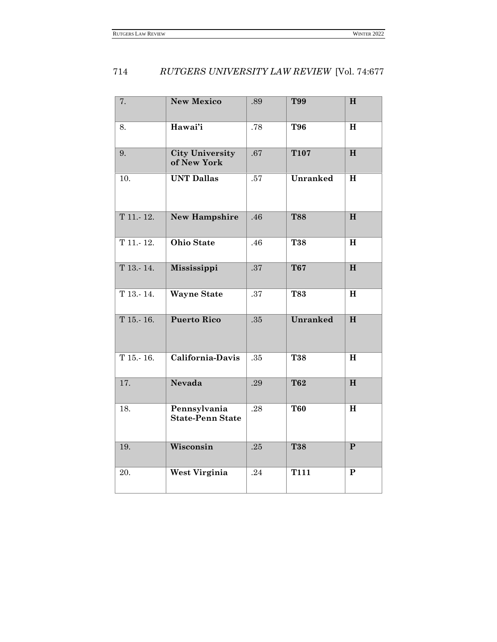| 7.          | <b>New Mexico</b>                       | .89 | <b>T99</b>      | H            |
|-------------|-----------------------------------------|-----|-----------------|--------------|
| 8.          | Hawai'i                                 | .78 | <b>T96</b>      | H            |
| 9.          | <b>City University</b><br>of New York   | .67 | <b>T107</b>     | H            |
| 10.         | <b>UNT Dallas</b>                       | .57 | <b>Unranked</b> | $\mathbf H$  |
| T 11. 12.   | <b>New Hampshire</b>                    | .46 | <b>T88</b>      | H            |
| T 11.-12.   | <b>Ohio State</b>                       | .46 | <b>T38</b>      | H            |
| T 13. 14.   | Mississippi                             | .37 | <b>T67</b>      | H            |
| $T$ 13. 14. | <b>Wayne State</b>                      | .37 | <b>T83</b>      | $\mathbf H$  |
| T 15. 16.   | <b>Puerto Rico</b>                      | .35 | Unranked        | H            |
| T15.16.     | California-Davis                        | .35 | <b>T38</b>      | $\mathbf H$  |
| 17.         | <b>Nevada</b>                           | .29 | <b>T62</b>      | H            |
| 18.         | Pennsylvania<br><b>State-Penn State</b> | .28 | <b>T60</b>      | H            |
| 19.         | Wisconsin                               | .25 | T38             | $\mathbf{P}$ |
| 20.         | West Virginia                           | .24 | <b>T111</b>     | ${\bf P}$    |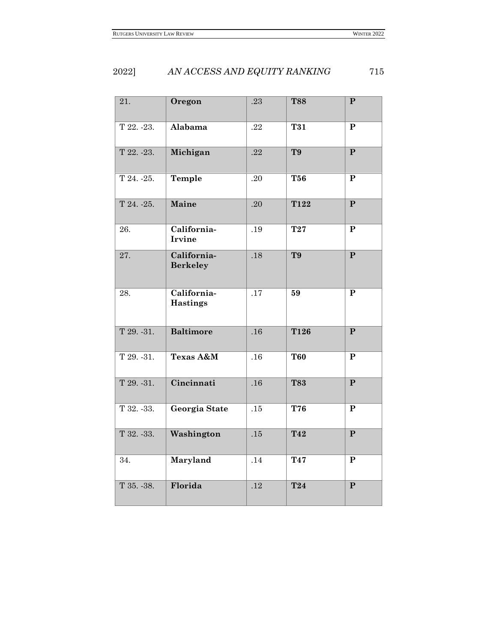| 21.         | Oregon                         | .23 | <b>T88</b>     | ${\bf P}$               |
|-------------|--------------------------------|-----|----------------|-------------------------|
| T 22. -23.  | Alabama                        | .22 | T31            | $\overline{\mathbf{P}}$ |
| T 22. -23.  | Michigan                       | .22 | T <sub>9</sub> | $\mathbf{P}$            |
| T 24. - 25. | Temple                         | .20 | <b>T56</b>     | $\mathbf{P}$            |
| T 24. - 25. | Maine                          | .20 | T122           | $\mathbf{P}$            |
| 26.         | California-<br><b>Irvine</b>   | .19 | T27            | P                       |
| 27.         | California-<br><b>Berkeley</b> | .18 | T9             | $\overline{\mathbf{P}}$ |
| 28.         | California-<br><b>Hastings</b> | .17 | 59             | ${\bf P}$               |
| T29.31.     | <b>Baltimore</b>               | .16 | <b>T126</b>    | $\overline{\mathbf{P}}$ |
| T 29. - 31. | Texas A&M                      | .16 | <b>T60</b>     | ${\bf P}$               |
| T 29. - 31. | Cincinnati                     | .16 | <b>T83</b>     | $\mathbf{P}$            |
| T 32. - 33. | Georgia State                  | .15 | T76            | ${\bf P}$               |
| T 32. - 33. | Washington                     | .15 | T42            | $\mathbf{P}$            |
| 34.         | Maryland                       | .14 | T47            | ${\bf P}$               |
| T 35. - 38. | Florida                        | .12 | <b>T24</b>     | $\overline{\mathbf{P}}$ |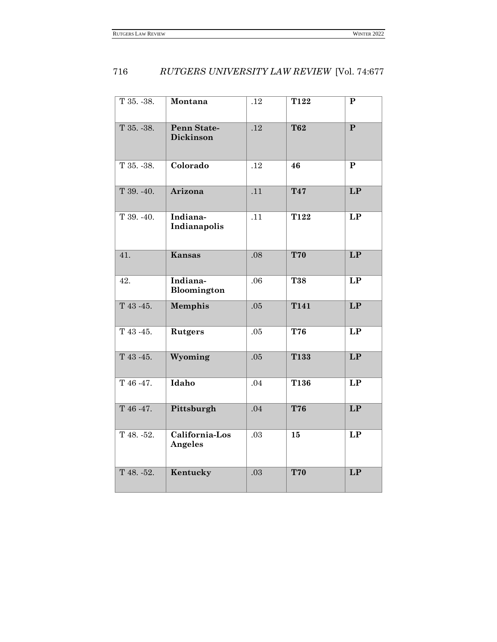| T 35. - 38. | Montana                   | .12 | T122       | ${\bf P}$    |
|-------------|---------------------------|-----|------------|--------------|
| T 35. - 38. | Penn State-<br>Dickinson  | .12 | <b>T62</b> | $\mathbf{P}$ |
| T 35. - 38. | Colorado                  | .12 | 46         | $\mathbf{P}$ |
| T 39. -40.  | Arizona                   | .11 | T47        | LP           |
| T 39. - 40. | Indiana-<br>Indianapolis  | .11 | T122       | LP           |
| 41.         | <b>Kansas</b>             | .08 | <b>T70</b> | LP           |
| 42.         | Indiana-<br>Bloomington   | .06 | T38        | LP           |
| T 43 - 45.  | <b>Memphis</b>            | .05 | T141       | LP           |
| T 43 - 45.  | <b>Rutgers</b>            | .05 | T76        | LP           |
| T 43 - 45.  | Wyoming                   | .05 | T133       | LP           |
| T 46 - 47.  | Idaho                     | .04 | T136       | LP           |
| T 46 - 47.  | Pittsburgh                | .04 | <b>T76</b> | LP           |
| T 48. - 52. | California-Los<br>Angeles | .03 | 15         | LP           |
| T 48. - 52. | Kentucky                  | .03 | <b>T70</b> | LP           |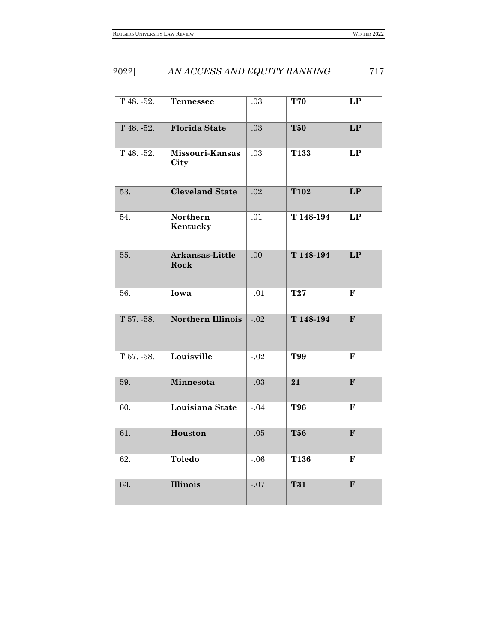| T 48. - 52. | <b>Tennessee</b>        | .03     | <b>T70</b>  | LP                       |
|-------------|-------------------------|---------|-------------|--------------------------|
| T 48. - 52. | <b>Florida State</b>    | .03     | <b>T50</b>  | $\overline{\mathbf{LP}}$ |
| T 48. - 52. | Missouri-Kansas<br>City | .03     | T133        | $\overline{LP}$          |
| 53.         | <b>Cleveland State</b>  | .02     | <b>T102</b> | LP                       |
| 54.         | Northern<br>Kentucky    | .01     | T 148-194   | LP                       |
| 55.         | Arkansas-Little<br>Rock | .00     | T 148-194   | LP                       |
| 56.         | Iowa                    | $-.01$  | <b>T27</b>  | $\mathbf F$              |
| T 57. - 58. | Northern Illinois       | $-.02$  | T 148-194   | $\mathbf{F}$             |
| T 57. - 58. | Louisville              | $-.02$  | T99         | $\mathbf F$              |
| 59.         | Minnesota               | $-.03$  | 21          | $\overline{\mathbf{F}}$  |
| 60.         | Louisiana State         | $-0.04$ | T96         | $\mathbf F$              |
| 61.         | Houston                 | $-.05$  | <b>T56</b>  | $\mathbf{F}$             |
| 62.         | <b>Toledo</b>           | $-.06$  | T136        | $\mathbf F$              |
| 63.         | <b>Illinois</b>         | $-.07$  | <b>T31</b>  | $\mathbf{F}$             |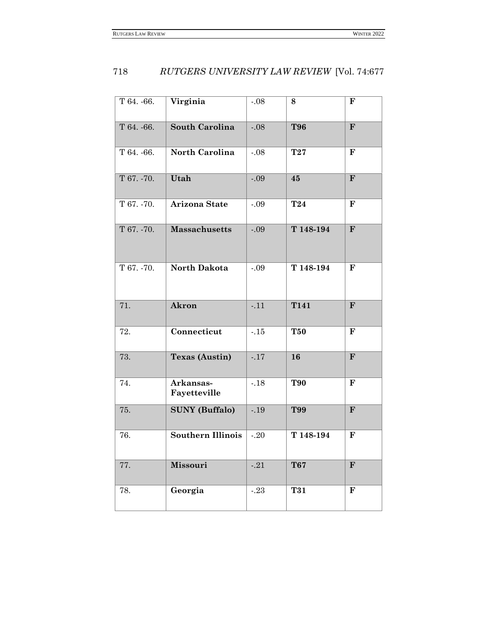| T 64. - 66. | Virginia                  | $-.08$  | 8               | F                       |
|-------------|---------------------------|---------|-----------------|-------------------------|
| T 64. - 66. | <b>South Carolina</b>     | $-.08$  | <b>T96</b>      | $\overline{\mathbf{F}}$ |
| T 64. - 66. | North Carolina            | $-0.08$ | <b>T27</b>      | $\mathbf F$             |
| T 67. - 70. | Utah                      | $-.09$  | 45              | $\mathbf{F}$            |
| T 67. - 70. | <b>Arizona State</b>      | $-.09$  | T <sub>24</sub> | $\mathbf F$             |
| T 67. - 70. | <b>Massachusetts</b>      | $-.09$  | T 148-194       | $\mathbf{F}$            |
| T 67. - 70. | North Dakota              | $-.09$  | T 148-194       | $\mathbf F$             |
| 71.         | Akron                     | $-11$   | <b>T141</b>     | $\mathbf{F}$            |
| 72.         | Connecticut               | $-15$   | <b>T50</b>      | $\mathbf{F}$            |
| 73.         | <b>Texas (Austin)</b>     | $-.17$  | 16              | $\mathbf{F}$            |
| 74.         | Arkansas-<br>Fayetteville | $-18$   | <b>T90</b>      | $\mathbf{F}$            |
| 75.         | <b>SUNY</b> (Buffalo)     | $-0.19$ | T99             | $\mathbf{F}$            |
| 76.         | <b>Southern Illinois</b>  | $-20$   | T 148-194       | $\mathbf F$             |
| 77.         | <b>Missouri</b>           | $-0.21$ | <b>T67</b>      | $\mathbf{F}$            |
| 78.         | Georgia                   | $-.23$  | T31             | $\mathbf{F}$            |